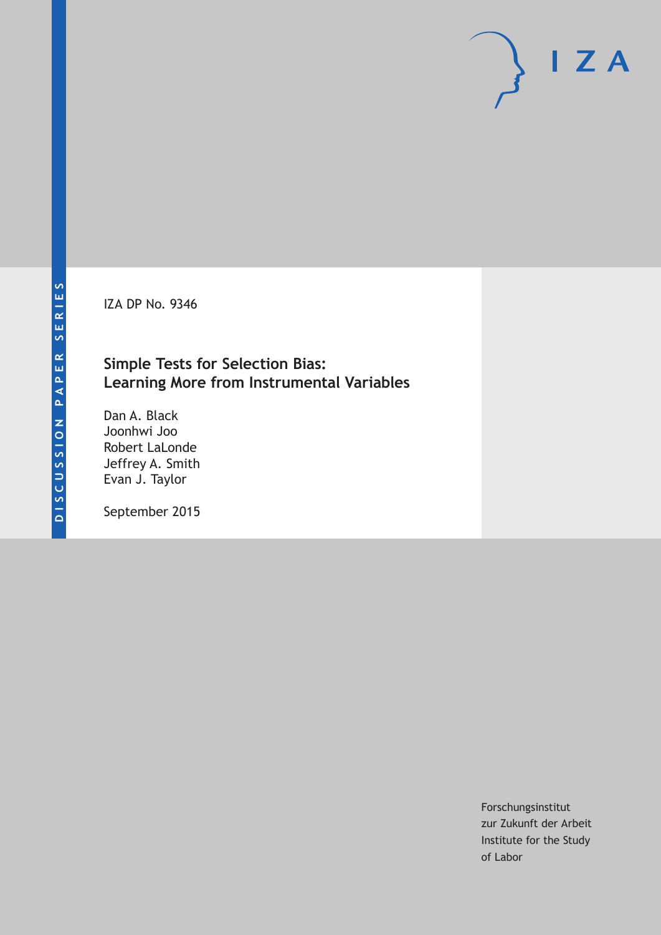IZA DP No. 9346

## **Simple Tests for Selection Bias: Learning More from Instrumental Variables**

Dan A. Black Joonhwi Joo Robert LaLonde Jeffrey A. Smith Evan J. Taylor

September 2015

Forschungsinstitut zur Zukunft der Arbeit Institute for the Study of Labor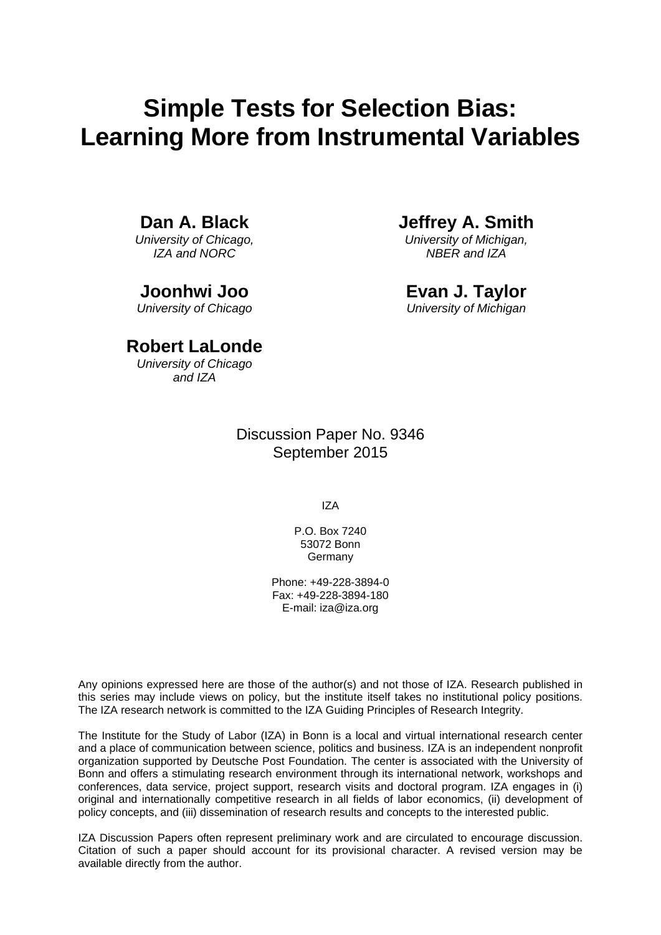# **Simple Tests for Selection Bias: Learning More from Instrumental Variables**

**Dan A. Black** 

*University of Chicago, IZA and NORC* 

**Joonhwi Joo**  *University of Chicago*  **Jeffrey A. Smith** 

*University of Michigan, NBER and IZA* 

**Evan J. Taylor**  *University of Michigan* 

### **Robert LaLonde**

*University of Chicago and IZA*

> Discussion Paper No. 9346 September 2015

> > IZA

P.O. Box 7240 53072 Bonn **Germany** 

Phone: +49-228-3894-0 Fax: +49-228-3894-180 E-mail: iza@iza.org

Any opinions expressed here are those of the author(s) and not those of IZA. Research published in this series may include views on policy, but the institute itself takes no institutional policy positions. The IZA research network is committed to the IZA Guiding Principles of Research Integrity.

The Institute for the Study of Labor (IZA) in Bonn is a local and virtual international research center and a place of communication between science, politics and business. IZA is an independent nonprofit organization supported by Deutsche Post Foundation. The center is associated with the University of Bonn and offers a stimulating research environment through its international network, workshops and conferences, data service, project support, research visits and doctoral program. IZA engages in (i) original and internationally competitive research in all fields of labor economics, (ii) development of policy concepts, and (iii) dissemination of research results and concepts to the interested public.

IZA Discussion Papers often represent preliminary work and are circulated to encourage discussion. Citation of such a paper should account for its provisional character. A revised version may be available directly from the author.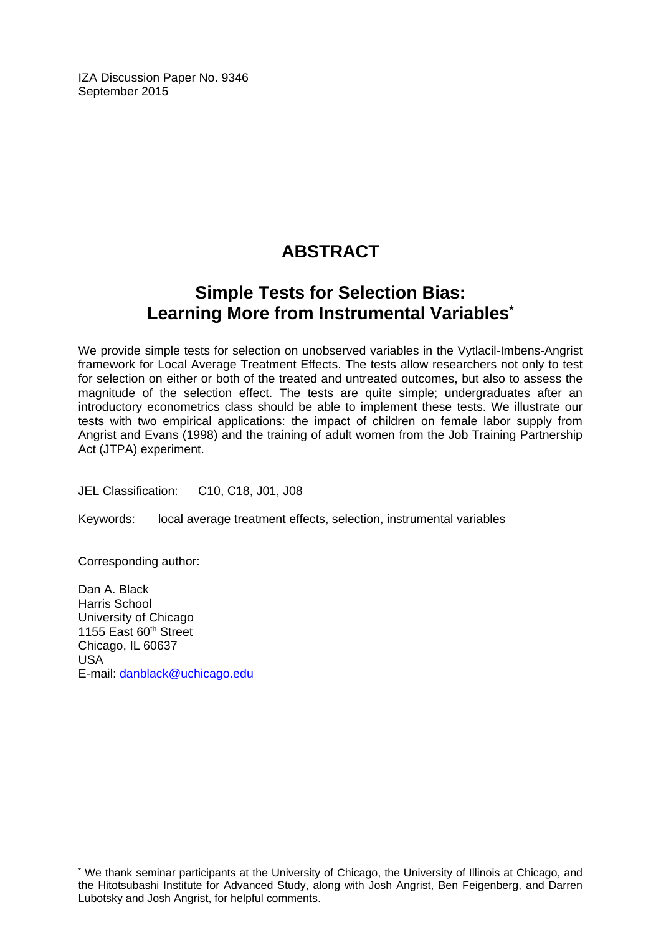IZA Discussion Paper No. 9346 September 2015

# **ABSTRACT**

# **Simple Tests for Selection Bias: Learning More from Instrumental Variables\***

We provide simple tests for selection on unobserved variables in the Vytlacil-Imbens-Angrist framework for Local Average Treatment Effects. The tests allow researchers not only to test for selection on either or both of the treated and untreated outcomes, but also to assess the magnitude of the selection effect. The tests are quite simple; undergraduates after an introductory econometrics class should be able to implement these tests. We illustrate our tests with two empirical applications: the impact of children on female labor supply from Angrist and Evans (1998) and the training of adult women from the Job Training Partnership Act (JTPA) experiment.

JEL Classification: C10, C18, J01, J08

Keywords: local average treatment effects, selection, instrumental variables

Corresponding author:

 $\overline{a}$ 

Dan A. Black Harris School University of Chicago 1155 East 60<sup>th</sup> Street Chicago, IL 60637 USA E-mail: danblack@uchicago.edu

<sup>\*</sup> We thank seminar participants at the University of Chicago, the University of Illinois at Chicago, and the Hitotsubashi Institute for Advanced Study, along with Josh Angrist, Ben Feigenberg, and Darren Lubotsky and Josh Angrist, for helpful comments.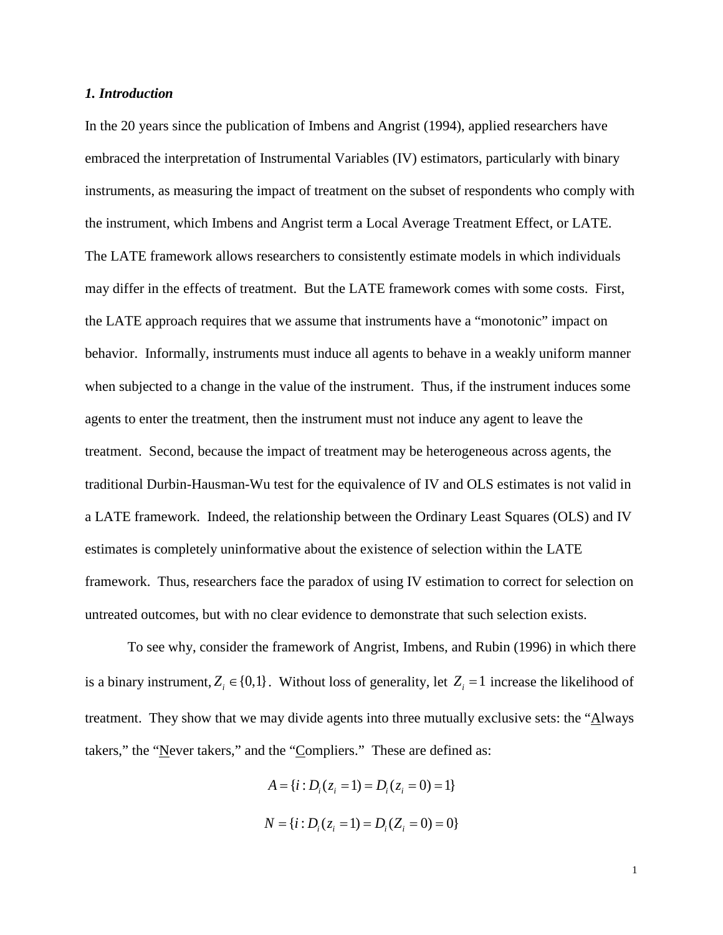#### *1. Introduction*

In the 20 years since the publication of Imbens and Angrist (1994), applied researchers have embraced the interpretation of Instrumental Variables (IV) estimators, particularly with binary instruments, as measuring the impact of treatment on the subset of respondents who comply with the instrument, which Imbens and Angrist term a Local Average Treatment Effect, or LATE. The LATE framework allows researchers to consistently estimate models in which individuals may differ in the effects of treatment. But the LATE framework comes with some costs. First, the LATE approach requires that we assume that instruments have a "monotonic" impact on behavior. Informally, instruments must induce all agents to behave in a weakly uniform manner when subjected to a change in the value of the instrument. Thus, if the instrument induces some agents to enter the treatment, then the instrument must not induce any agent to leave the treatment. Second, because the impact of treatment may be heterogeneous across agents, the traditional Durbin-Hausman-Wu test for the equivalence of IV and OLS estimates is not valid in a LATE framework. Indeed, the relationship between the Ordinary Least Squares (OLS) and IV estimates is completely uninformative about the existence of selection within the LATE framework. Thus, researchers face the paradox of using IV estimation to correct for selection on untreated outcomes, but with no clear evidence to demonstrate that such selection exists.

To see why, consider the framework of Angrist, Imbens, and Rubin (1996) in which there is a binary instrument,  $Z_i \in \{0,1\}$ . Without loss of generality, let  $Z_i = 1$  increase the likelihood of treatment. They show that we may divide agents into three mutually exclusive sets: the "Always takers," the "Never takers," and the "Compliers." These are defined as:

$$
A = \{i : D_i(z_i = 1) = D_i(z_i = 0) = 1\}
$$
  

$$
N = \{i : D_i(z_i = 1) = D_i(Z_i = 0) = 0\}
$$

$$
1 \\
$$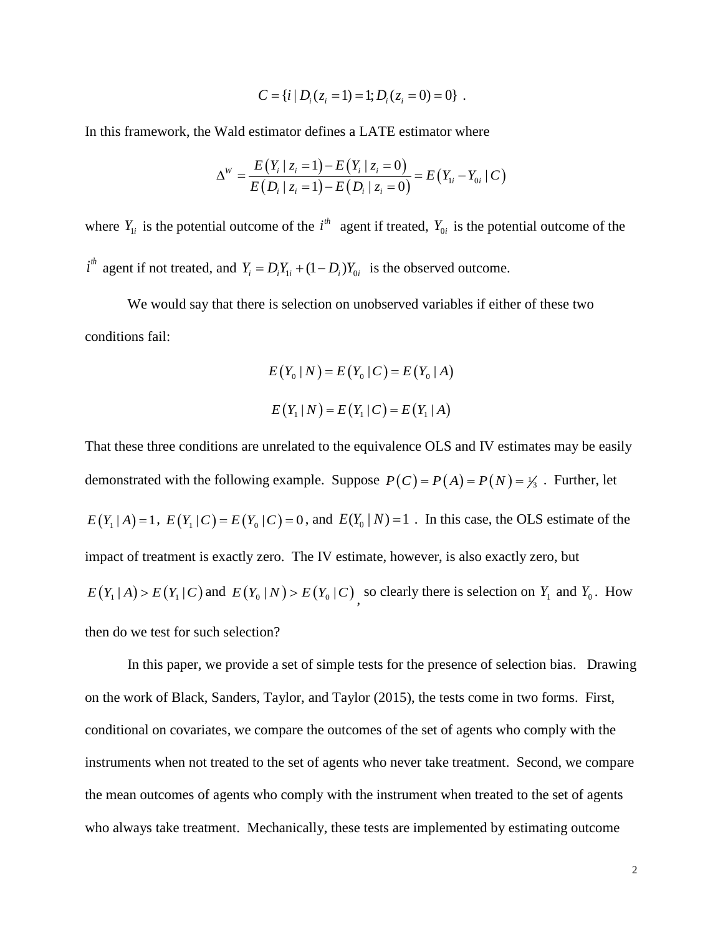$$
C = \{i \mid D_i(z_i = 1) = 1; D_i(z_i = 0) = 0\}.
$$

In this framework, the Wald estimator defines a LATE estimator where

$$
\Delta^W = \frac{E(Y_i \mid z_i = 1) - E(Y_i \mid z_i = 0)}{E(D_i \mid z_i = 1) - E(D_i \mid z_i = 0)} = E(Y_{1i} - Y_{0i} \mid C)
$$

where  $Y_{1i}$  is the potential outcome of the  $i^{th}$  agent if treated,  $Y_{0i}$  is the potential outcome of the  $i^{th}$  agent if not treated, and  $Y_i = D_i Y_{1i} + (1 - D_i) Y_{0i}$  is the observed outcome.

We would say that there is selection on unobserved variables if either of these two conditions fail:

$$
E(Y_0 | N) = E(Y_0 | C) = E(Y_0 | A)
$$
  

$$
E(Y_1 | N) = E(Y_1 | C) = E(Y_1 | A)
$$

That these three conditions are unrelated to the equivalence OLS and IV estimates may be easily demonstrated with the following example. Suppose  $P(C) = P(A) = P(N) = \frac{1}{3}$ . Further, let  $E(Y_1 | A) = 1$ ,  $E(Y_1 | C) = E(Y_0 | C) = 0$ , and  $E(Y_0 | N) = 1$ . In this case, the OLS estimate of the impact of treatment is exactly zero. The IV estimate, however, is also exactly zero, but  $E(Y_1 | A) > E(Y_1 | C)$  and  $E(Y_0 | N) > E(Y_0 | C)$ , so clearly there is selection on  $Y_1$  and  $Y_0$ . How then do we test for such selection?

In this paper, we provide a set of simple tests for the presence of selection bias. Drawing on the work of Black, Sanders, Taylor, and Taylor (2015), the tests come in two forms. First, conditional on covariates, we compare the outcomes of the set of agents who comply with the instruments when not treated to the set of agents who never take treatment. Second, we compare the mean outcomes of agents who comply with the instrument when treated to the set of agents who always take treatment. Mechanically, these tests are implemented by estimating outcome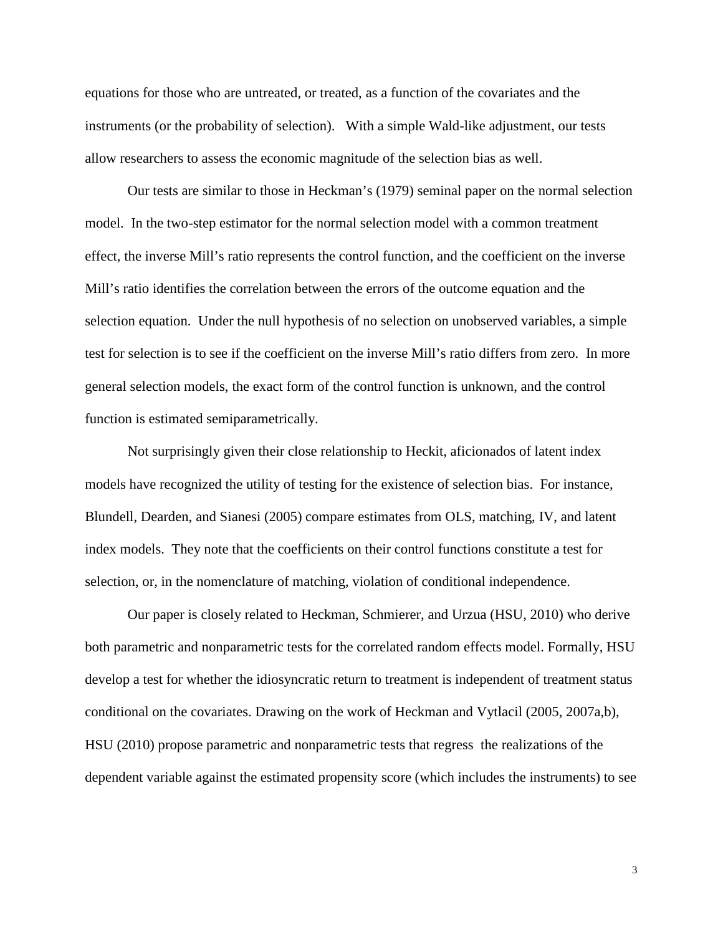equations for those who are untreated, or treated, as a function of the covariates and the instruments (or the probability of selection). With a simple Wald-like adjustment, our tests allow researchers to assess the economic magnitude of the selection bias as well.

Our tests are similar to those in Heckman's (1979) seminal paper on the normal selection model. In the two-step estimator for the normal selection model with a common treatment effect, the inverse Mill's ratio represents the control function, and the coefficient on the inverse Mill's ratio identifies the correlation between the errors of the outcome equation and the selection equation. Under the null hypothesis of no selection on unobserved variables, a simple test for selection is to see if the coefficient on the inverse Mill's ratio differs from zero. In more general selection models, the exact form of the control function is unknown, and the control function is estimated semiparametrically.

Not surprisingly given their close relationship to Heckit, aficionados of latent index models have recognized the utility of testing for the existence of selection bias. For instance, Blundell, Dearden, and Sianesi (2005) compare estimates from OLS, matching, IV, and latent index models. They note that the coefficients on their control functions constitute a test for selection, or, in the nomenclature of matching, violation of conditional independence.

Our paper is closely related to Heckman, Schmierer, and Urzua (HSU, 2010) who derive both parametric and nonparametric tests for the correlated random effects model. Formally, HSU develop a test for whether the idiosyncratic return to treatment is independent of treatment status conditional on the covariates. Drawing on the work of Heckman and Vytlacil (2005, 2007a,b), HSU (2010) propose parametric and nonparametric tests that regress the realizations of the dependent variable against the estimated propensity score (which includes the instruments) to see

3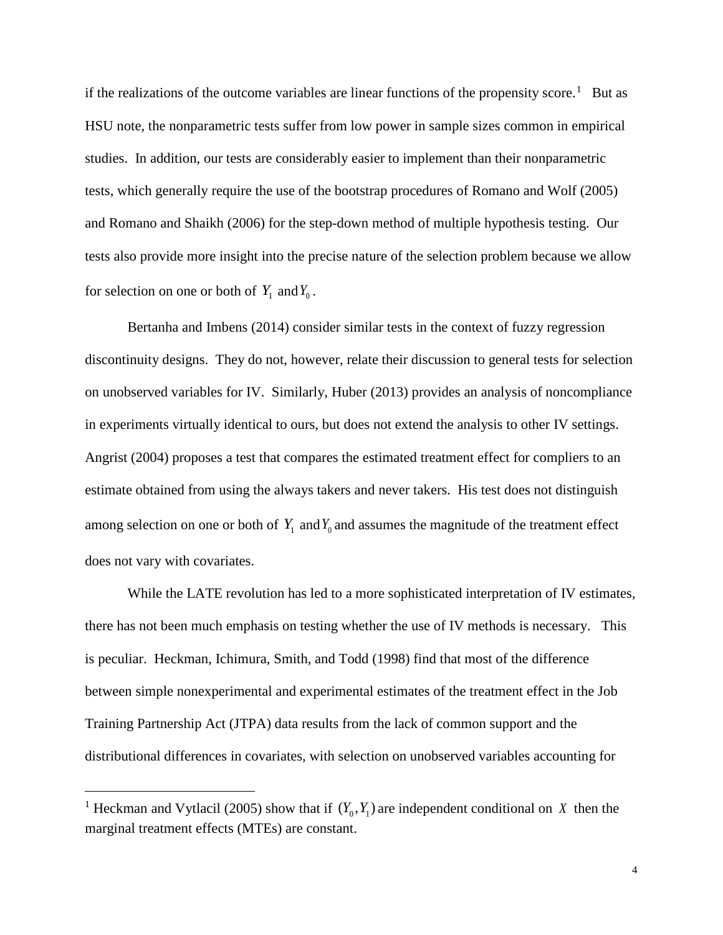if the realizations of the outcome variables are linear functions of the propensity score.<sup>[1](#page-6-0)</sup> But as HSU note, the nonparametric tests suffer from low power in sample sizes common in empirical studies. In addition, our tests are considerably easier to implement than their nonparametric tests, which generally require the use of the bootstrap procedures of Romano and Wolf (2005) and Romano and Shaikh (2006) for the step-down method of multiple hypothesis testing. Our tests also provide more insight into the precise nature of the selection problem because we allow for selection on one or both of  $Y_1$  and  $Y_0$ .

Bertanha and Imbens (2014) consider similar tests in the context of fuzzy regression discontinuity designs. They do not, however, relate their discussion to general tests for selection on unobserved variables for IV. Similarly, Huber (2013) provides an analysis of noncompliance in experiments virtually identical to ours, but does not extend the analysis to other IV settings. Angrist (2004) proposes a test that compares the estimated treatment effect for compliers to an estimate obtained from using the always takers and never takers. His test does not distinguish among selection on one or both of  $Y_1$  and  $Y_0$  and assumes the magnitude of the treatment effect does not vary with covariates.

While the LATE revolution has led to a more sophisticated interpretation of IV estimates, there has not been much emphasis on testing whether the use of IV methods is necessary. This is peculiar. Heckman, Ichimura, Smith, and Todd (1998) find that most of the difference between simple nonexperimental and experimental estimates of the treatment effect in the Job Training Partnership Act (JTPA) data results from the lack of common support and the distributional differences in covariates, with selection on unobserved variables accounting for

<span id="page-6-0"></span><sup>&</sup>lt;sup>1</sup> Heckman and Vytlacil (2005) show that if  $(Y_0, Y_1)$  are independent conditional on *X* then the marginal treatment effects (MTEs) are constant.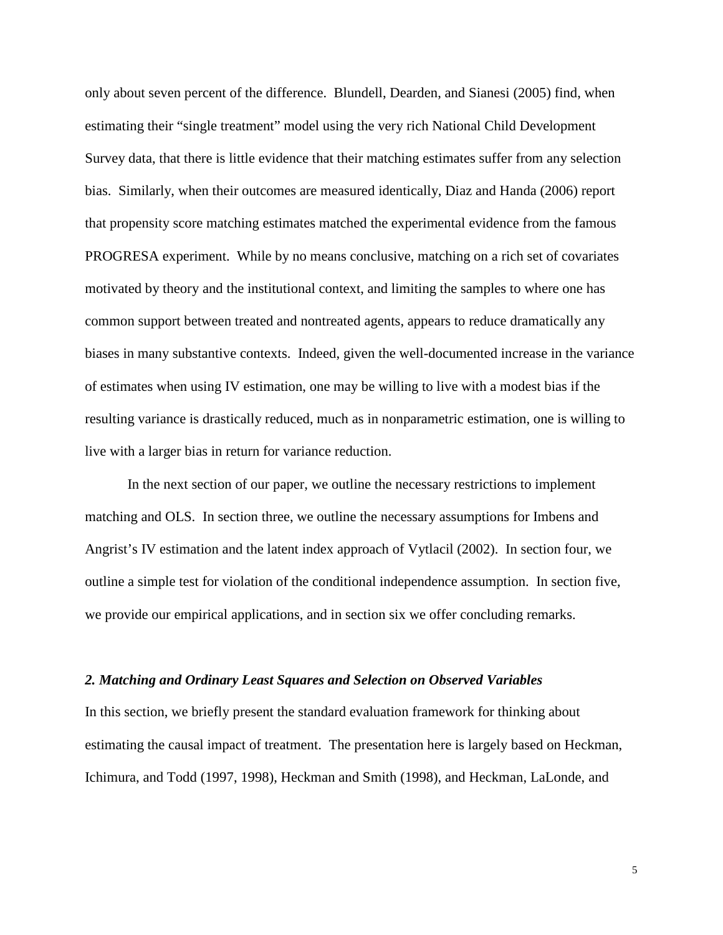only about seven percent of the difference. Blundell, Dearden, and Sianesi (2005) find, when estimating their "single treatment" model using the very rich National Child Development Survey data, that there is little evidence that their matching estimates suffer from any selection bias. Similarly, when their outcomes are measured identically, Diaz and Handa (2006) report that propensity score matching estimates matched the experimental evidence from the famous PROGRESA experiment. While by no means conclusive, matching on a rich set of covariates motivated by theory and the institutional context, and limiting the samples to where one has common support between treated and nontreated agents, appears to reduce dramatically any biases in many substantive contexts. Indeed, given the well-documented increase in the variance of estimates when using IV estimation, one may be willing to live with a modest bias if the resulting variance is drastically reduced, much as in nonparametric estimation, one is willing to live with a larger bias in return for variance reduction.

In the next section of our paper, we outline the necessary restrictions to implement matching and OLS. In section three, we outline the necessary assumptions for Imbens and Angrist's IV estimation and the latent index approach of Vytlacil (2002). In section four, we outline a simple test for violation of the conditional independence assumption. In section five, we provide our empirical applications, and in section six we offer concluding remarks.

#### *2. Matching and Ordinary Least Squares and Selection on Observed Variables*

In this section, we briefly present the standard evaluation framework for thinking about estimating the causal impact of treatment. The presentation here is largely based on Heckman, Ichimura, and Todd (1997, 1998), Heckman and Smith (1998), and Heckman, LaLonde, and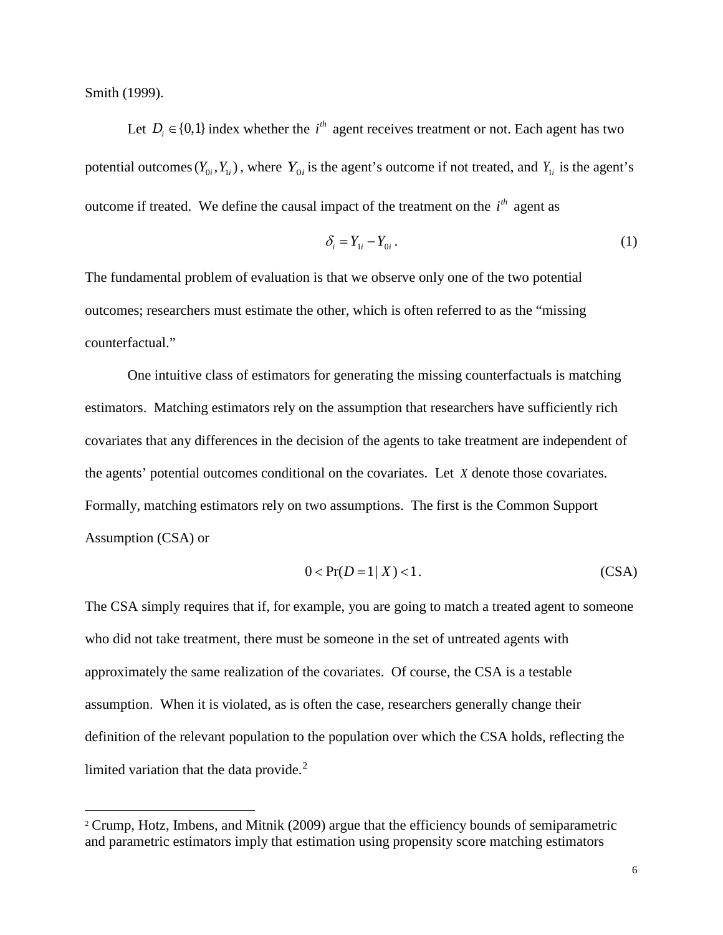Smith (1999).

Let  $D_i \in \{0,1\}$  index whether the *i*<sup>th</sup> agent receives treatment or not. Each agent has two potential outcomes  $(Y_0, Y_i)$ , where  $Y_0$  is the agent's outcome if not treated, and  $Y_i$  is the agent's outcome if treated. We define the causal impact of the treatment on the  $i<sup>th</sup>$  agent as

$$
\delta_i = Y_{1i} - Y_{0i} \,. \tag{1}
$$

The fundamental problem of evaluation is that we observe only one of the two potential outcomes; researchers must estimate the other, which is often referred to as the "missing counterfactual."

One intuitive class of estimators for generating the missing counterfactuals is matching estimators. Matching estimators rely on the assumption that researchers have sufficiently rich covariates that any differences in the decision of the agents to take treatment are independent of the agents' potential outcomes conditional on the covariates. Let *X* denote those covariates. Formally, matching estimators rely on two assumptions. The first is the Common Support Assumption (CSA) or

$$
0 < \Pr(D = 1 | X) < 1. \tag{CSA}
$$

The CSA simply requires that if, for example, you are going to match a treated agent to someone who did not take treatment, there must be someone in the set of untreated agents with approximately the same realization of the covariates. Of course, the CSA is a testable assumption. When it is violated, as is often the case, researchers generally change their definition of the relevant population to the population over which the CSA holds, reflecting the limited variation that the data provide. $2$ 

<span id="page-8-0"></span> <sup>2</sup> Crump, Hotz, Imbens, and Mitnik (2009) argue that the efficiency bounds of semiparametric and parametric estimators imply that estimation using propensity score matching estimators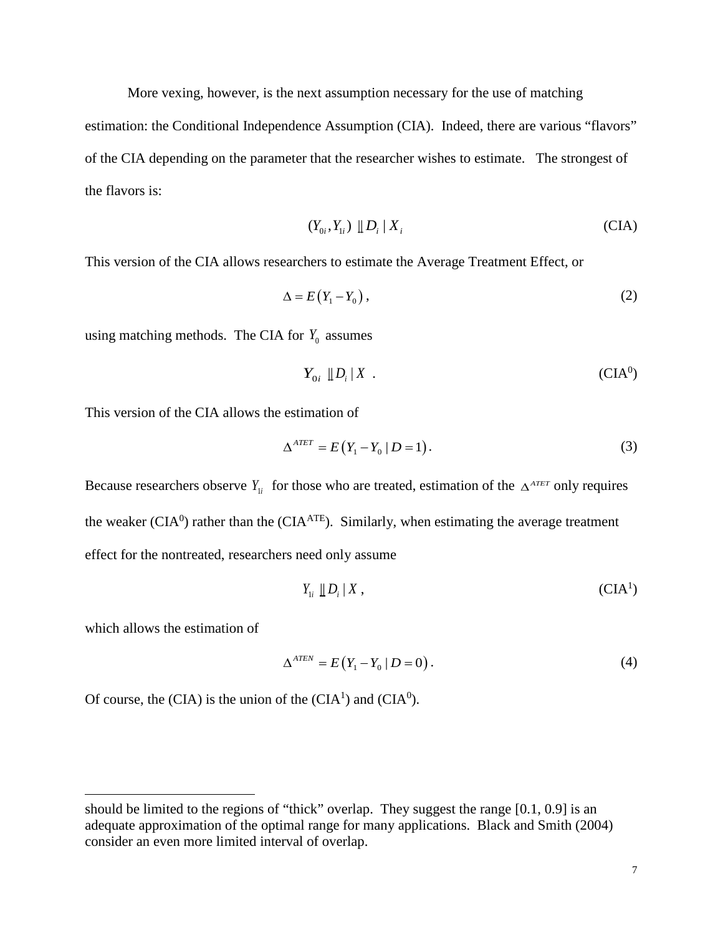More vexing, however, is the next assumption necessary for the use of matching

estimation: the Conditional Independence Assumption (CIA). Indeed, there are various "flavors" of the CIA depending on the parameter that the researcher wishes to estimate. The strongest of the flavors is:

$$
(Y_{0i}, Y_{1i}) \parallel D_i \parallel X_i
$$
 (CIA)

This version of the CIA allows researchers to estimate the Average Treatment Effect, or

$$
\Delta = E(Y_1 - Y_0), \tag{2}
$$

using matching methods. The CIA for  $Y_0$  assumes

$$
Y_{0i} \parallel D_i \parallel X \quad . \tag{CIA0}
$$

This version of the CIA allows the estimation of

$$
\Delta^{ATET} = E(Y_1 - Y_0 \mid D = 1). \tag{3}
$$

Because researchers observe  $Y_{ij}$  for those who are treated, estimation of the  $\Delta^{ATET}$  only requires the weaker (CIA<sup>0</sup>) rather than the (CIA<sup>ATE</sup>). Similarly, when estimating the average treatment effect for the nontreated, researchers need only assume

$$
Y_{1i} \parallel D_i \parallel X \,, \tag{CIA1}
$$

which allows the estimation of

 $\overline{a}$ 

$$
\Delta^{ATEN} = E(Y_1 - Y_0 \mid D = 0). \tag{4}
$$

Of course, the (CIA) is the union of the (CIA<sup>1</sup>) and (CIA<sup>0</sup>).

should be limited to the regions of "thick" overlap. They suggest the range [0.1, 0.9] is an adequate approximation of the optimal range for many applications. Black and Smith (2004) consider an even more limited interval of overlap.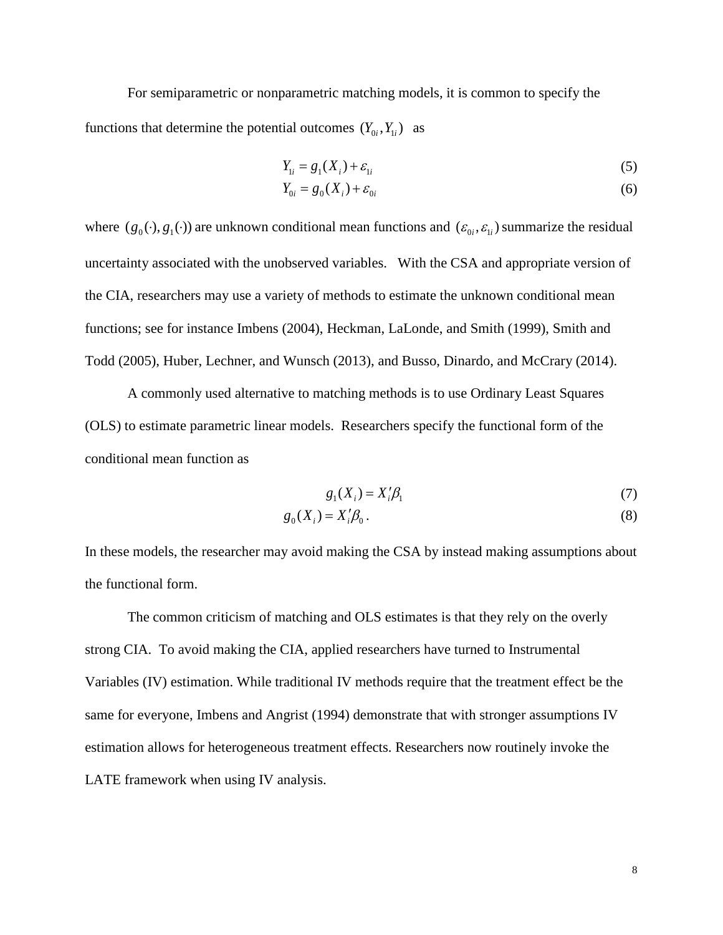For semiparametric or nonparametric matching models, it is common to specify the functions that determine the potential outcomes  $(Y_{0i}, Y_{1i})$  as

$$
Y_{1i} = g_1(X_i) + \varepsilon_{1i} \tag{5}
$$

$$
Y_{0i} = g_0(X_i) + \varepsilon_{0i} \tag{6}
$$

where  $(g_0(\cdot), g_1(\cdot))$  are unknown conditional mean functions and  $(\varepsilon_{0i}, \varepsilon_{1i})$  summarize the residual uncertainty associated with the unobserved variables. With the CSA and appropriate version of the CIA, researchers may use a variety of methods to estimate the unknown conditional mean functions; see for instance Imbens (2004), Heckman, LaLonde, and Smith (1999), Smith and Todd (2005), Huber, Lechner, and Wunsch (2013), and Busso, Dinardo, and McCrary (2014).

A commonly used alternative to matching methods is to use Ordinary Least Squares (OLS) to estimate parametric linear models. Researchers specify the functional form of the conditional mean function as

$$
g_1(X_i) = X_i' \beta_1 \tag{7}
$$

$$
g_0(X_i) = X_i'\beta_0.
$$
\n<sup>(8)</sup>

In these models, the researcher may avoid making the CSA by instead making assumptions about the functional form.

The common criticism of matching and OLS estimates is that they rely on the overly strong CIA. To avoid making the CIA, applied researchers have turned to Instrumental Variables (IV) estimation. While traditional IV methods require that the treatment effect be the same for everyone, Imbens and Angrist (1994) demonstrate that with stronger assumptions IV estimation allows for heterogeneous treatment effects. Researchers now routinely invoke the LATE framework when using IV analysis.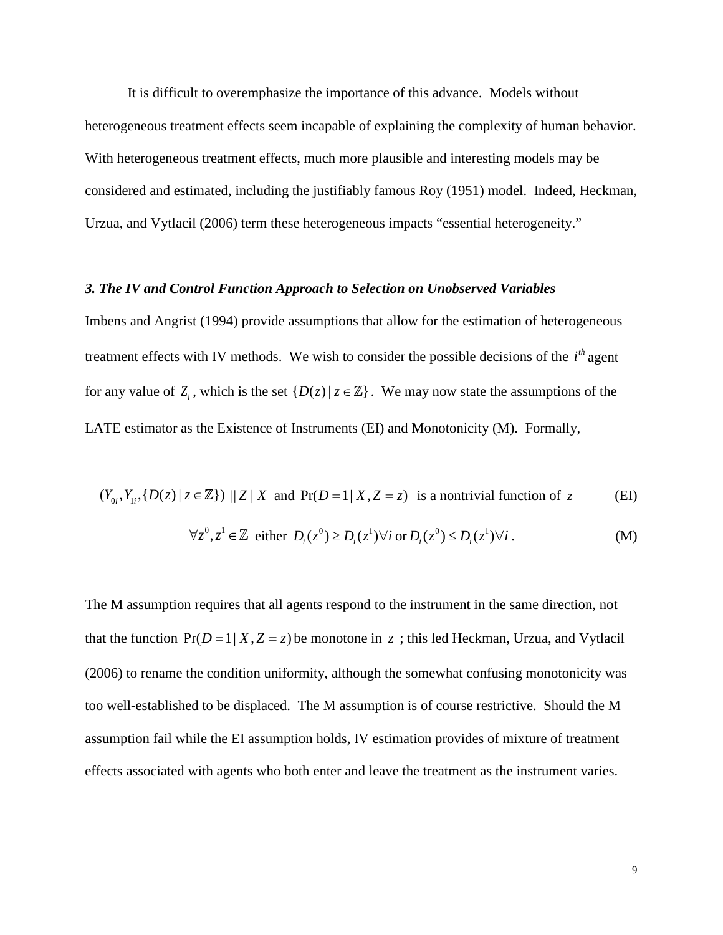It is difficult to overemphasize the importance of this advance. Models without heterogeneous treatment effects seem incapable of explaining the complexity of human behavior. With heterogeneous treatment effects, much more plausible and interesting models may be considered and estimated, including the justifiably famous Roy (1951) model. Indeed, Heckman, Urzua, and Vytlacil (2006) term these heterogeneous impacts "essential heterogeneity."

#### *3. The IV and Control Function Approach to Selection on Unobserved Variables*

Imbens and Angrist (1994) provide assumptions that allow for the estimation of heterogeneous treatment effects with IV methods. We wish to consider the possible decisions of the  $i<sup>th</sup>$  agent for any value of  $Z_i$ , which is the set  $\{D(z) | z \in \mathbb{Z}\}\)$ . We may now state the assumptions of the LATE estimator as the Existence of Instruments (EI) and Monotonicity (M). Formally,

$$
(Y_{0i}, Y_{1i}, \{D(z) \mid z \in \mathbb{Z}\}) \perp Z \mid X
$$
 and  $Pr(D=1 \mid X, Z=z)$  is a nontrivial function of z (EI)

$$
\forall z^0, z^1 \in \mathbb{Z} \text{ either } D_i(z^0) \ge D_i(z^1) \forall i \text{ or } D_i(z^0) \le D_i(z^1) \forall i.
$$
 (M)

The M assumption requires that all agents respond to the instrument in the same direction, not that the function  $Pr(D = 1 | X, Z = z)$  be monotone in z; this led Heckman, Urzua, and Vytlacil (2006) to rename the condition uniformity, although the somewhat confusing monotonicity was too well-established to be displaced. The M assumption is of course restrictive. Should the M assumption fail while the EI assumption holds, IV estimation provides of mixture of treatment effects associated with agents who both enter and leave the treatment as the instrument varies.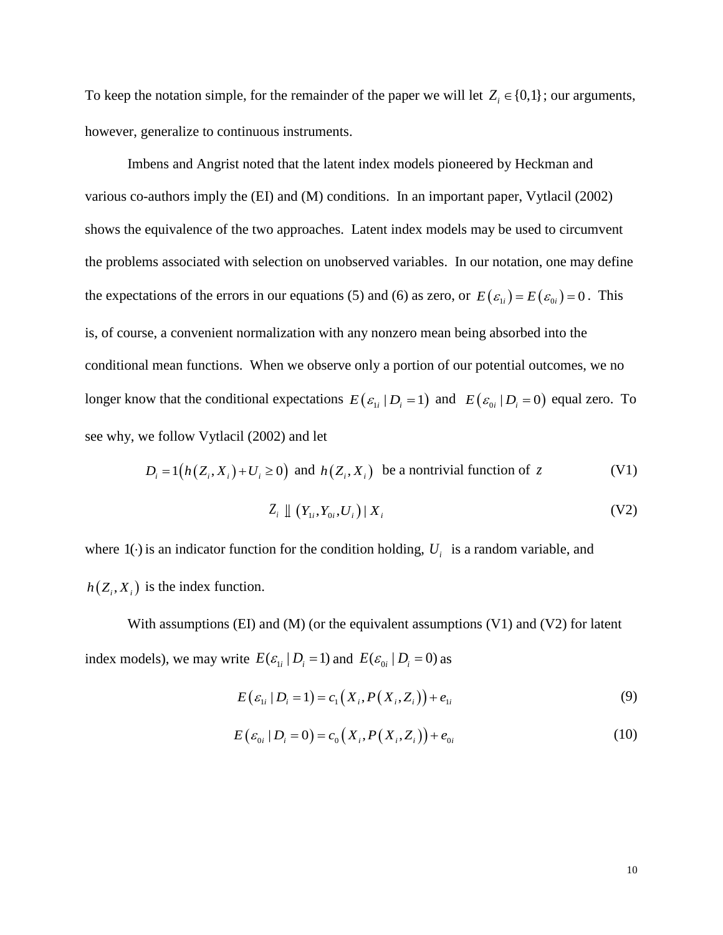To keep the notation simple, for the remainder of the paper we will let  $Z_i \in \{0,1\}$ ; our arguments, however, generalize to continuous instruments.

Imbens and Angrist noted that the latent index models pioneered by Heckman and various co-authors imply the (EI) and (M) conditions. In an important paper, Vytlacil (2002) shows the equivalence of the two approaches. Latent index models may be used to circumvent the problems associated with selection on unobserved variables. In our notation, one may define the expectations of the errors in our equations (5) and (6) as zero, or  $E(\varepsilon_{1i}) = E(\varepsilon_{0i}) = 0$ . This is, of course, a convenient normalization with any nonzero mean being absorbed into the conditional mean functions. When we observe only a portion of our potential outcomes, we no longer know that the conditional expectations  $E(\varepsilon_{1i} | D_i = 1)$  and  $E(\varepsilon_{0i} | D_i = 0)$  equal zero. To see why, we follow Vytlacil (2002) and let

$$
D_i = 1(h(Z_i, X_i) + U_i \ge 0) \text{ and } h(Z_i, X_i) \text{ be a nontrivial function of } z
$$
 (V1)

$$
Z_i \perp (Y_{1i}, Y_{0i}, U_i) \mid X_i \tag{V2}
$$

where  $1(\cdot)$  is an indicator function for the condition holding,  $U_i$  is a random variable, and  $h(Z_i, X_i)$  is the index function.

With assumptions (EI) and (M) (or the equivalent assumptions  $(V1)$  and  $(V2)$  for latent index models), we may write  $E(\varepsilon_{1i} | D_i = 1)$  and  $E(\varepsilon_{0i} | D_i = 0)$  as

$$
E\left(\varepsilon_{1i} \mid D_i = 1\right) = c_1\left(X_i, P\left(X_i, Z_i\right)\right) + e_{1i} \tag{9}
$$

$$
E(e_{0i} | D_i = 0) = c_0(X_i, P(X_i, Z_i)) + e_{0i}
$$
\n(10)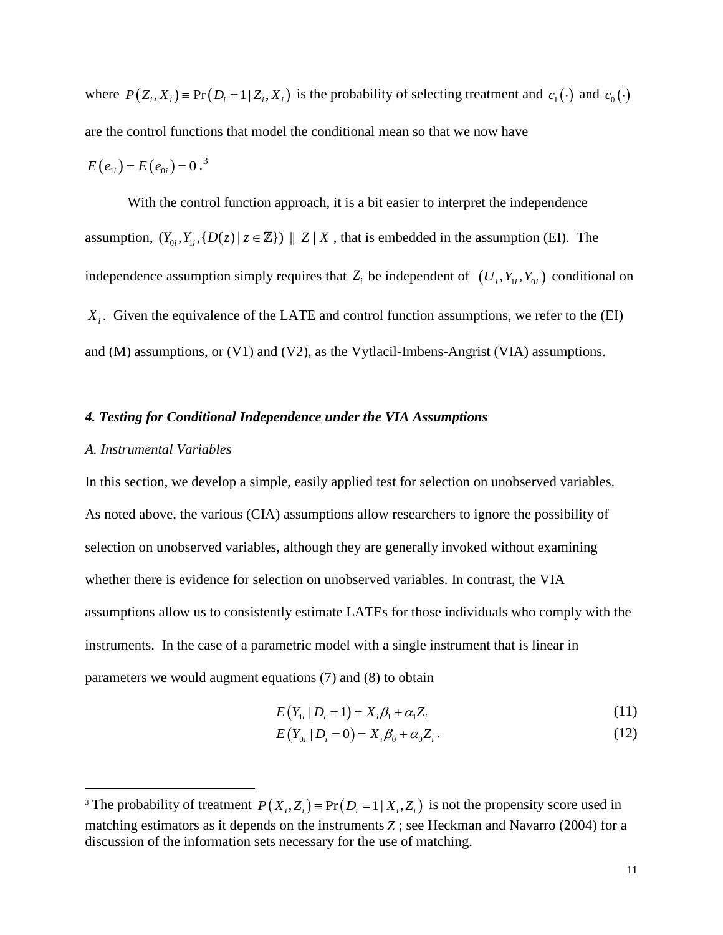where  $P(Z_i, X_i) = Pr(D_i = 1 | Z_i, X_i)$  is the probability of selecting treatment and  $c_1(\cdot)$  and  $c_0(\cdot)$ are the control functions that model the conditional mean so that we now have  $E(e_{1i}) = E(e_{0i}) = 0.^3$  $E(e_{1i}) = E(e_{0i}) = 0.^3$ 

With the control function approach, it is a bit easier to interpret the independence assumption,  $(Y_{0i}, Y_{1i}, \{D(z) | z \in \mathbb{Z}\}) \perp Z \mid X$ , that is embedded in the assumption (EI). The independence assumption simply requires that  $Z_i$  be independent of  $(U_i, Y_{i}, Y_{i})$  conditional on  $X_i$ . Given the equivalence of the LATE and control function assumptions, we refer to the  $(EI)$ and (M) assumptions, or (V1) and (V2), as the Vytlacil-Imbens-Angrist (VIA) assumptions.

#### *4. Testing for Conditional Independence under the VIA Assumptions*

#### *A. Instrumental Variables*

In this section, we develop a simple, easily applied test for selection on unobserved variables. As noted above, the various (CIA) assumptions allow researchers to ignore the possibility of selection on unobserved variables, although they are generally invoked without examining whether there is evidence for selection on unobserved variables. In contrast, the VIA assumptions allow us to consistently estimate LATEs for those individuals who comply with the instruments. In the case of a parametric model with a single instrument that is linear in parameters we would augment equations (7) and (8) to obtain

$$
E(Y_{1i} | D_i = 1) = X_i \beta_1 + \alpha_1 Z_i
$$
\n<sup>(11)</sup>

$$
E(Y_{0i} | D_i = 0) = X_i \beta_0 + \alpha_0 Z_i.
$$
 (12)

<span id="page-13-0"></span><sup>&</sup>lt;sup>3</sup> The probability of treatment  $P(X_i, Z_i) = Pr(D_i = 1 | X_i, Z_i)$  is not the propensity score used in matching estimators as it depends on the instruments *Z* ; see Heckman and Navarro (2004) for a discussion of the information sets necessary for the use of matching.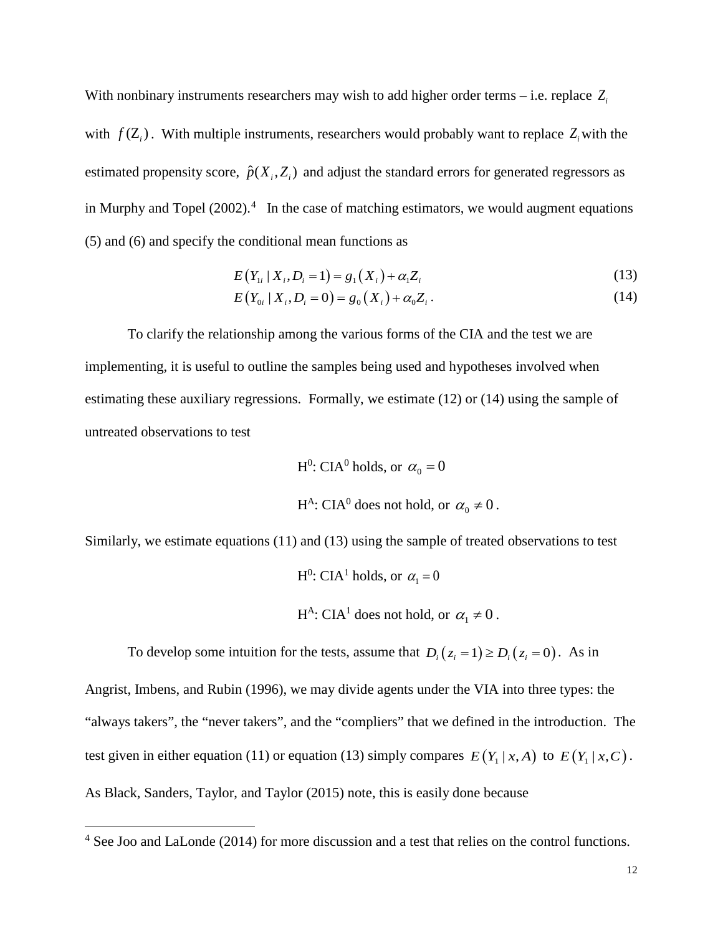With nonbinary instruments researchers may wish to add higher order terms – i.e. replace  $Z_i$ with  $f(Z_i)$ . With multiple instruments, researchers would probably want to replace  $Z_i$  with the estimated propensity score,  $\hat{p}(X_i, Z_i)$  and adjust the standard errors for generated regressors as in Murphy and Topel  $(2002)^4$  $(2002)^4$  In the case of matching estimators, we would augment equations (5) and (6) and specify the conditional mean functions as

$$
E(Y_{1i} | X_i, D_i = 1) = g_1(X_i) + \alpha_1 Z_i
$$
\n(13)

$$
E(Y_{0i} | X_i, D_i = 0) = g_0(X_i) + \alpha_0 Z_i.
$$
 (14)

To clarify the relationship among the various forms of the CIA and the test we are implementing, it is useful to outline the samples being used and hypotheses involved when estimating these auxiliary regressions. Formally, we estimate (12) or (14) using the sample of untreated observations to test

H<sup>0</sup>: CIA<sup>0</sup> holds, or 
$$
\alpha_0 = 0
$$
  
H<sup>A</sup>: CIA<sup>0</sup> does not hold, or  $\alpha_0 \neq 0$ .

Similarly, we estimate equations (11) and (13) using the sample of treated observations to test

H<sup>0</sup>: CIA<sup>1</sup> holds, or  $\alpha_1 = 0$ H<sup>A</sup>: CIA<sup>1</sup> does not hold, or  $\alpha_1 \neq 0$ .

To develop some intuition for the tests, assume that  $D_i(z_i = 1) \ge D_i(z_i = 0)$ . As in

Angrist, Imbens, and Rubin (1996), we may divide agents under the VIA into three types: the "always takers", the "never takers", and the "compliers" that we defined in the introduction. The test given in either equation (11) or equation (13) simply compares  $E(Y_1 | x, A)$  to  $E(Y_1 | x, C)$ . As Black, Sanders, Taylor, and Taylor (2015) note, this is easily done because

<span id="page-14-0"></span> <sup>4</sup> See Joo and LaLonde (2014) for more discussion and a test that relies on the control functions.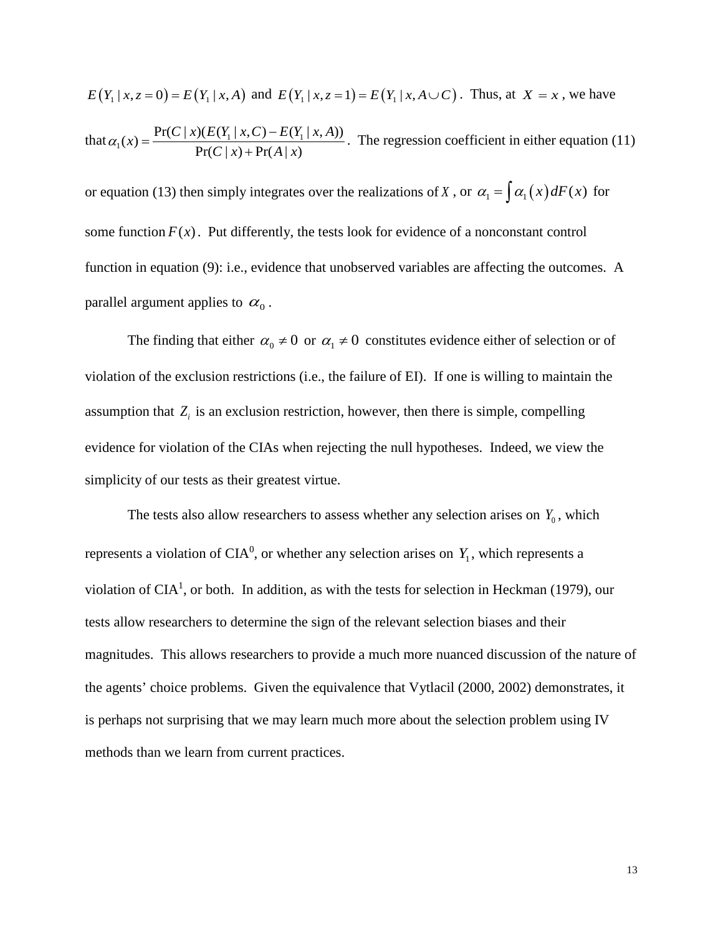$$
E(Y_1 | x, z = 0) = E(Y_1 | x, A) \text{ and } E(Y_1 | x, z = 1) = E(Y_1 | x, A \cup C). \text{ Thus, at } X = x \text{, we have}
$$
  
that  $\alpha_1(x) = \frac{\Pr(C | x)(E(Y_1 | x, C) - E(Y_1 | x, A))}{\Pr(C | x) + \Pr(A | x)}$ . The regression coefficient in either equation (11)

or equation (13) then simply integrates over the realizations of *X*, or  $\alpha_1 = \int \alpha_1(x) dF(x)$  for some function  $F(x)$ . Put differently, the tests look for evidence of a nonconstant control function in equation (9): i.e., evidence that unobserved variables are affecting the outcomes. A parallel argument applies to  $\alpha_0$ .

The finding that either  $\alpha_0 \neq 0$  or  $\alpha_1 \neq 0$  constitutes evidence either of selection or of violation of the exclusion restrictions (i.e., the failure of EI). If one is willing to maintain the assumption that  $Z_i$  is an exclusion restriction, however, then there is simple, compelling evidence for violation of the CIAs when rejecting the null hypotheses. Indeed, we view the simplicity of our tests as their greatest virtue.

The tests also allow researchers to assess whether any selection arises on  $Y_0$ , which represents a violation of  $CIA<sup>0</sup>$ , or whether any selection arises on  $Y_1$ , which represents a violation of  $CIA<sup>1</sup>$ , or both. In addition, as with the tests for selection in Heckman (1979), our tests allow researchers to determine the sign of the relevant selection biases and their magnitudes. This allows researchers to provide a much more nuanced discussion of the nature of the agents' choice problems. Given the equivalence that Vytlacil (2000, 2002) demonstrates, it is perhaps not surprising that we may learn much more about the selection problem using IV methods than we learn from current practices.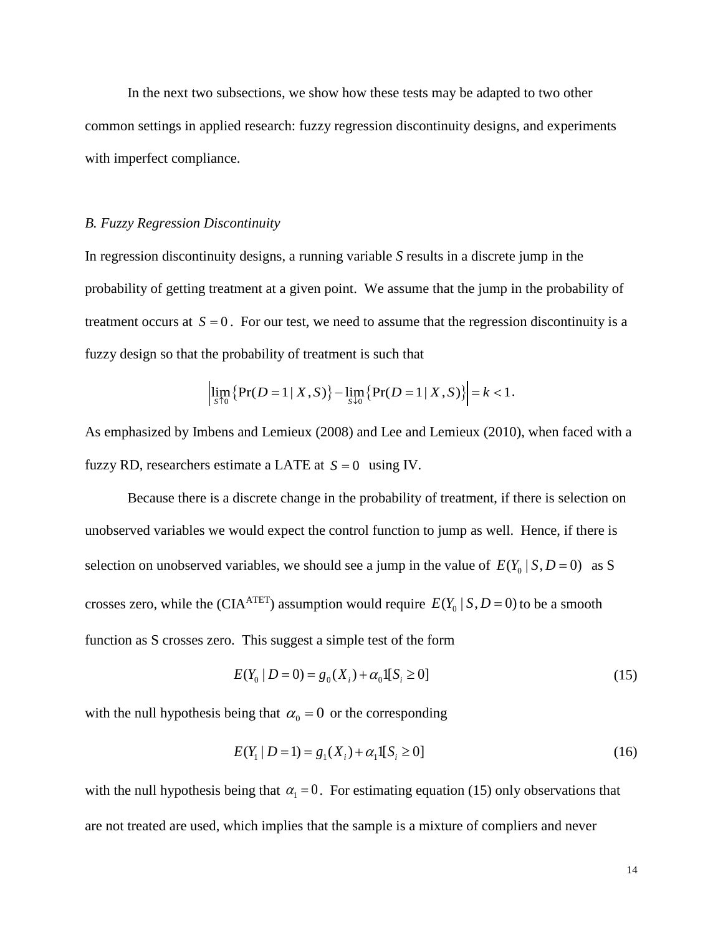In the next two subsections, we show how these tests may be adapted to two other common settings in applied research: fuzzy regression discontinuity designs, and experiments with imperfect compliance.

#### *B. Fuzzy Regression Discontinuity*

In regression discontinuity designs, a running variable *S* results in a discrete jump in the probability of getting treatment at a given point. We assume that the jump in the probability of treatment occurs at  $S = 0$ . For our test, we need to assume that the regression discontinuity is a fuzzy design so that the probability of treatment is such that

$$
\left|\lim_{s \uparrow 0} \{ \Pr(D=1 \,|\, X, S) \} - \lim_{s \downarrow 0} \{ \Pr(D=1 \,|\, X, S) \} \right| = k < 1.
$$

As emphasized by Imbens and Lemieux (2008) and Lee and Lemieux (2010), when faced with a fuzzy RD, researchers estimate a LATE at  $S = 0$  using IV.

Because there is a discrete change in the probability of treatment, if there is selection on unobserved variables we would expect the control function to jump as well. Hence, if there is selection on unobserved variables, we should see a jump in the value of  $E(Y_0 | S, D = 0)$  as S crosses zero, while the (CIA<sup>ATET</sup>) assumption would require  $E(Y_0 | S, D = 0)$  to be a smooth function as S crosses zero. This suggest a simple test of the form

$$
E(Y_0 | D = 0) = g_0(X_i) + \alpha_0 \mathbb{I}[S_i \ge 0]
$$
\n(15)

with the null hypothesis being that  $\alpha_0 = 0$  or the corresponding

$$
E(Y_1 | D = 1) = g_1(X_i) + \alpha_1 I[S_i \ge 0]
$$
\n(16)

with the null hypothesis being that  $\alpha_1 = 0$ . For estimating equation (15) only observations that are not treated are used, which implies that the sample is a mixture of compliers and never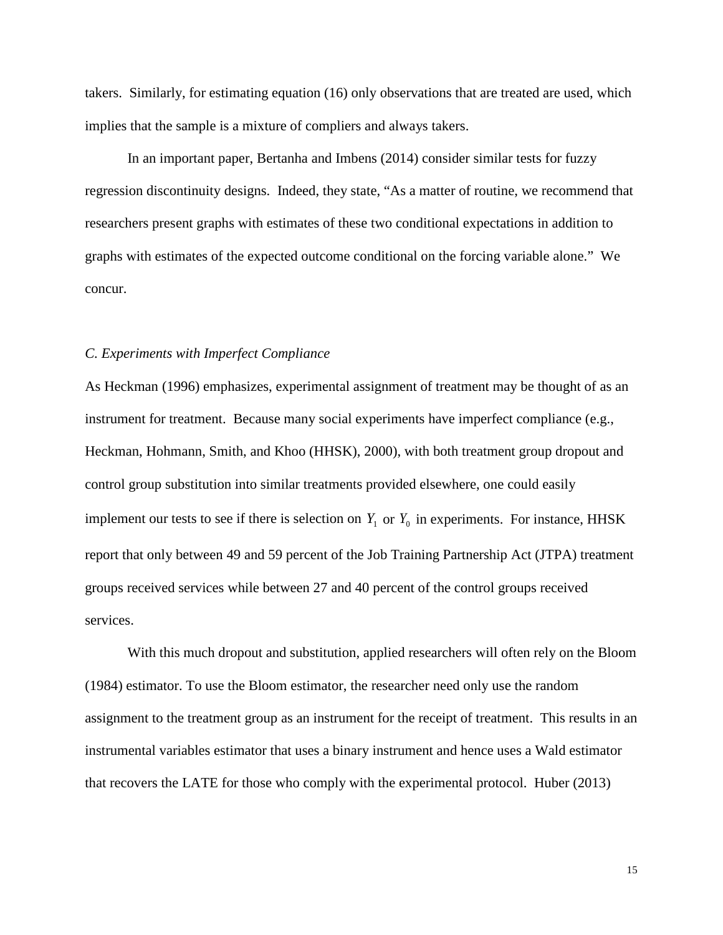takers. Similarly, for estimating equation (16) only observations that are treated are used, which implies that the sample is a mixture of compliers and always takers.

In an important paper, Bertanha and Imbens (2014) consider similar tests for fuzzy regression discontinuity designs. Indeed, they state, "As a matter of routine, we recommend that researchers present graphs with estimates of these two conditional expectations in addition to graphs with estimates of the expected outcome conditional on the forcing variable alone." We concur.

#### *C. Experiments with Imperfect Compliance*

As Heckman (1996) emphasizes, experimental assignment of treatment may be thought of as an instrument for treatment. Because many social experiments have imperfect compliance (e.g., Heckman, Hohmann, Smith, and Khoo (HHSK), 2000), with both treatment group dropout and control group substitution into similar treatments provided elsewhere, one could easily implement our tests to see if there is selection on  $Y_1$  or  $Y_0$  in experiments. For instance, HHSK report that only between 49 and 59 percent of the Job Training Partnership Act (JTPA) treatment groups received services while between 27 and 40 percent of the control groups received services.

With this much dropout and substitution, applied researchers will often rely on the Bloom (1984) estimator. To use the Bloom estimator, the researcher need only use the random assignment to the treatment group as an instrument for the receipt of treatment. This results in an instrumental variables estimator that uses a binary instrument and hence uses a Wald estimator that recovers the LATE for those who comply with the experimental protocol. Huber (2013)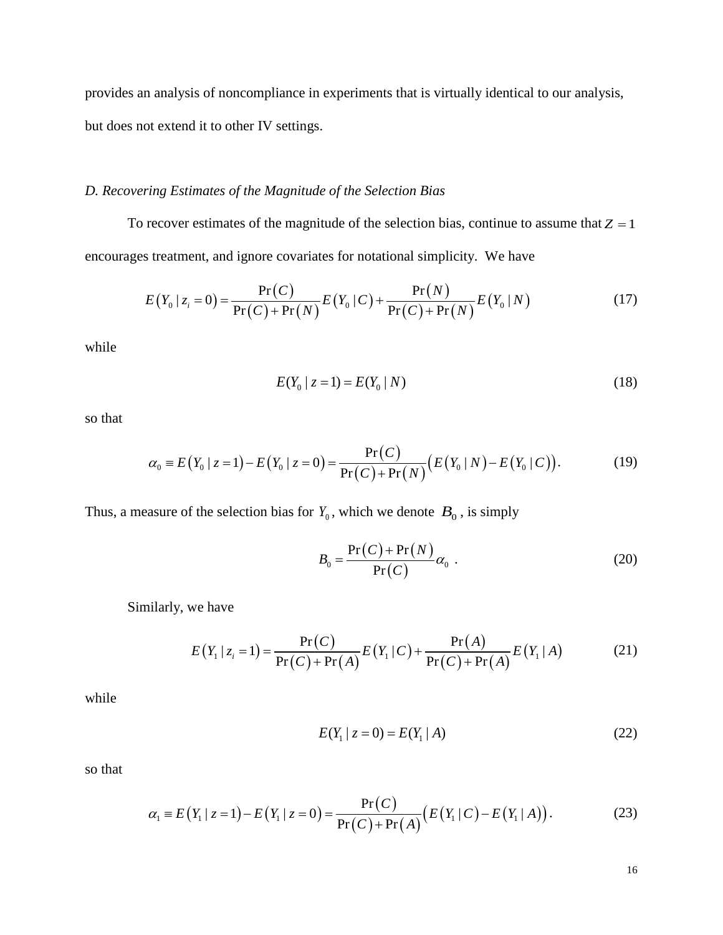provides an analysis of noncompliance in experiments that is virtually identical to our analysis, but does not extend it to other IV settings.

#### *D. Recovering Estimates of the Magnitude of the Selection Bias*

To recover estimates of the magnitude of the selection bias, continue to assume that  $Z = 1$ encourages treatment, and ignore covariates for notational simplicity. We have

$$
E(Y_0 | z_i = 0) = \frac{\Pr(C)}{\Pr(C) + \Pr(N)} E(Y_0 | C) + \frac{\Pr(N)}{\Pr(C) + \Pr(N)} E(Y_0 | N)
$$
(17)

while

$$
E(Y_0 \mid z = 1) = E(Y_0 \mid N) \tag{18}
$$

so that

$$
\alpha_0 = E(Y_0 \mid z = 1) - E(Y_0 \mid z = 0) = \frac{\Pr(C)}{\Pr(C) + \Pr(N)} (E(Y_0 \mid N) - E(Y_0 \mid C)). \tag{19}
$$

Thus, a measure of the selection bias for  $Y_0$ , which we denote  $B_0$ , is simply

$$
B_0 = \frac{\Pr(C) + \Pr(N)}{\Pr(C)} \alpha_0 \tag{20}
$$

Similarly, we have

$$
E(Y_1 | z_i = 1) = \frac{\Pr(C)}{\Pr(C) + \Pr(A)} E(Y_1 | C) + \frac{\Pr(A)}{\Pr(C) + \Pr(A)} E(Y_1 | A)
$$
(21)

while

$$
E(Y_1 \mid z = 0) = E(Y_1 \mid A) \tag{22}
$$

so that

$$
\alpha_1 = E(Y_1 \mid z = 1) - E(Y_1 \mid z = 0) = \frac{\Pr(C)}{\Pr(C) + \Pr(A)} (E(Y_1 \mid C) - E(Y_1 \mid A)). \tag{23}
$$

16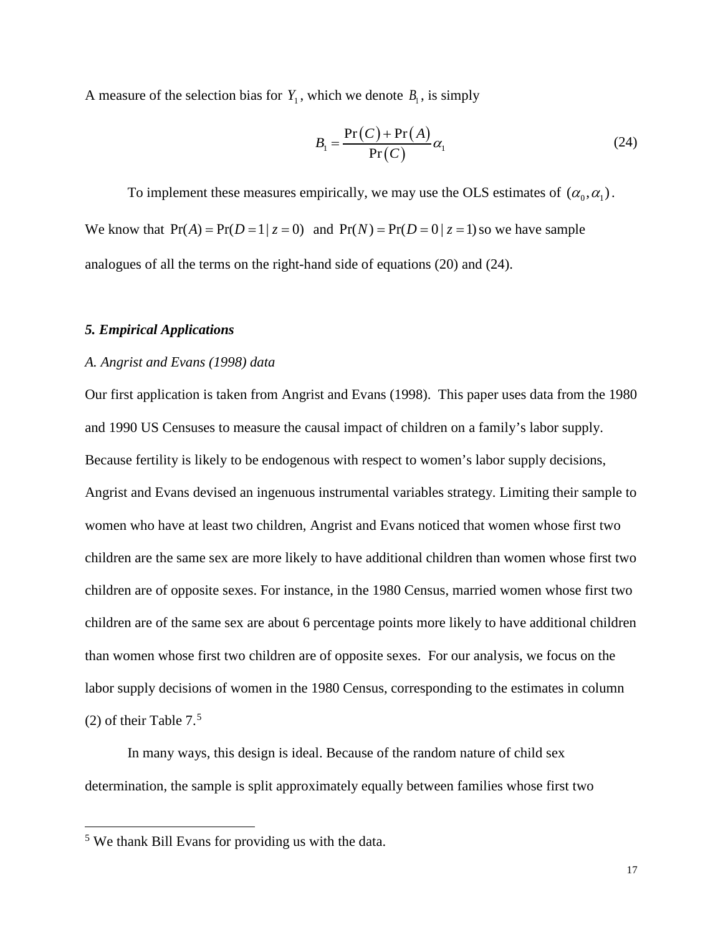A measure of the selection bias for  $Y_1$ , which we denote  $B_1$ , is simply

$$
B_1 = \frac{\Pr(C) + \Pr(A)}{\Pr(C)} \alpha_1 \tag{24}
$$

To implement these measures empirically, we may use the OLS estimates of  $(\alpha_0, \alpha_1)$ . We know that  $Pr(A) = Pr(D=1 | z = 0)$  and  $Pr(N) = Pr(D=0 | z = 1)$  so we have sample analogues of all the terms on the right-hand side of equations (20) and (24).

#### *5. Empirical Applications*

#### *A. Angrist and Evans (1998) data*

Our first application is taken from Angrist and Evans (1998). This paper uses data from the 1980 and 1990 US Censuses to measure the causal impact of children on a family's labor supply. Because fertility is likely to be endogenous with respect to women's labor supply decisions, Angrist and Evans devised an ingenuous instrumental variables strategy. Limiting their sample to women who have at least two children, Angrist and Evans noticed that women whose first two children are the same sex are more likely to have additional children than women whose first two children are of opposite sexes. For instance, in the 1980 Census, married women whose first two children are of the same sex are about 6 percentage points more likely to have additional children than women whose first two children are of opposite sexes. For our analysis, we focus on the labor supply decisions of women in the 1980 Census, corresponding to the estimates in column (2) of their Table  $7<sup>5</sup>$  $7<sup>5</sup>$  $7<sup>5</sup>$ 

In many ways, this design is ideal. Because of the random nature of child sex determination, the sample is split approximately equally between families whose first two

<span id="page-19-0"></span> <sup>5</sup> We thank Bill Evans for providing us with the data.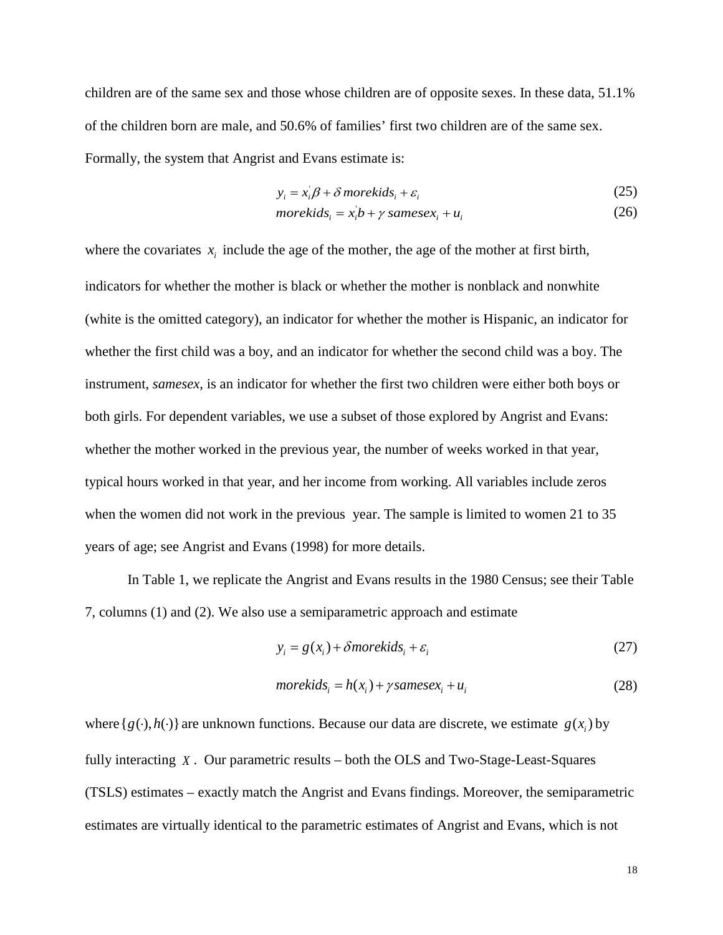children are of the same sex and those whose children are of opposite sexes. In these data, 51.1% of the children born are male, and 50.6% of families' first two children are of the same sex. Formally, the system that Angrist and Evans estimate is:

$$
y_i = x_i' \beta + \delta \text{ morekids}_i + \varepsilon_i \tag{25}
$$

$$
morekids_i = x_i b + \gamma \, samesex_i + u_i \tag{26}
$$

where the covariates  $x_i$  include the age of the mother, the age of the mother at first birth, indicators for whether the mother is black or whether the mother is nonblack and nonwhite (white is the omitted category), an indicator for whether the mother is Hispanic, an indicator for whether the first child was a boy, and an indicator for whether the second child was a boy. The instrument, *samesex*, is an indicator for whether the first two children were either both boys or both girls. For dependent variables, we use a subset of those explored by Angrist and Evans: whether the mother worked in the previous year, the number of weeks worked in that year, typical hours worked in that year, and her income from working. All variables include zeros when the women did not work in the previous year. The sample is limited to women 21 to 35 years of age; see Angrist and Evans (1998) for more details.

In Table 1, we replicate the Angrist and Evans results in the 1980 Census; see their Table 7, columns (1) and (2). We also use a semiparametric approach and estimate

$$
y_i = g(x_i) + \delta morekids_i + \varepsilon_i
$$
 (27)

$$
morekids_i = h(x_i) + \gamma samesex_i + u_i \tag{28}
$$

where  $\{ g(\cdot), h(\cdot) \}$  are unknown functions. Because our data are discrete, we estimate  $g(x)$  by fully interacting *X* . Our parametric results – both the OLS and Two-Stage-Least-Squares (TSLS) estimates – exactly match the Angrist and Evans findings. Moreover, the semiparametric estimates are virtually identical to the parametric estimates of Angrist and Evans, which is not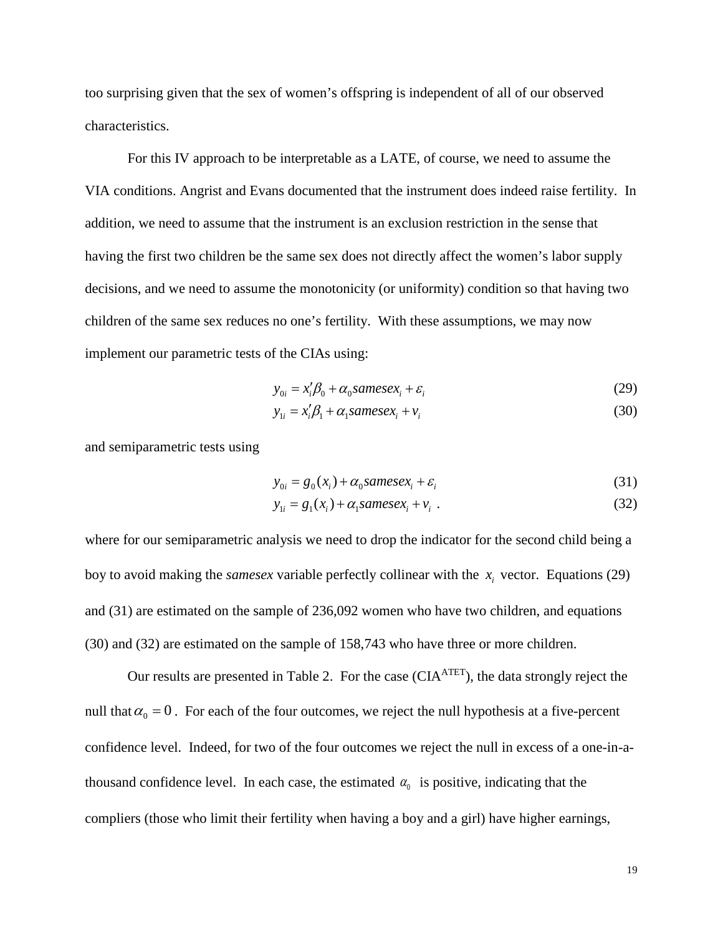too surprising given that the sex of women's offspring is independent of all of our observed characteristics.

For this IV approach to be interpretable as a LATE, of course, we need to assume the VIA conditions. Angrist and Evans documented that the instrument does indeed raise fertility. In addition, we need to assume that the instrument is an exclusion restriction in the sense that having the first two children be the same sex does not directly affect the women's labor supply decisions, and we need to assume the monotonicity (or uniformity) condition so that having two children of the same sex reduces no one's fertility. With these assumptions, we may now implement our parametric tests of the CIAs using:

$$
y_{0i} = x_i' \beta_0 + \alpha_0 \text{samesex}_i + \varepsilon_i \tag{29}
$$

$$
y_{1i} = x_i' \beta_1 + \alpha_1 \text{samesex}_i + v_i \tag{30}
$$

and semiparametric tests using

$$
y_{0i} = g_0(x_i) + \alpha_0 \text{samesex}_i + \varepsilon_i \tag{31}
$$

$$
y_{1i} = g_1(x_i) + \alpha_1 \text{samesex}_i + v_i \tag{32}
$$

where for our semiparametric analysis we need to drop the indicator for the second child being a boy to avoid making the *samesex* variable perfectly collinear with the  $x_i$  vector. Equations (29) and (31) are estimated on the sample of 236,092 women who have two children, and equations (30) and (32) are estimated on the sample of 158,743 who have three or more children.

Our results are presented in Table 2. For the case (CIA<sup>ATET</sup>), the data strongly reject the null that  $\alpha_0 = 0$ . For each of the four outcomes, we reject the null hypothesis at a five-percent confidence level. Indeed, for two of the four outcomes we reject the null in excess of a one-in-athousand confidence level. In each case, the estimated  $\alpha_0$  is positive, indicating that the compliers (those who limit their fertility when having a boy and a girl) have higher earnings,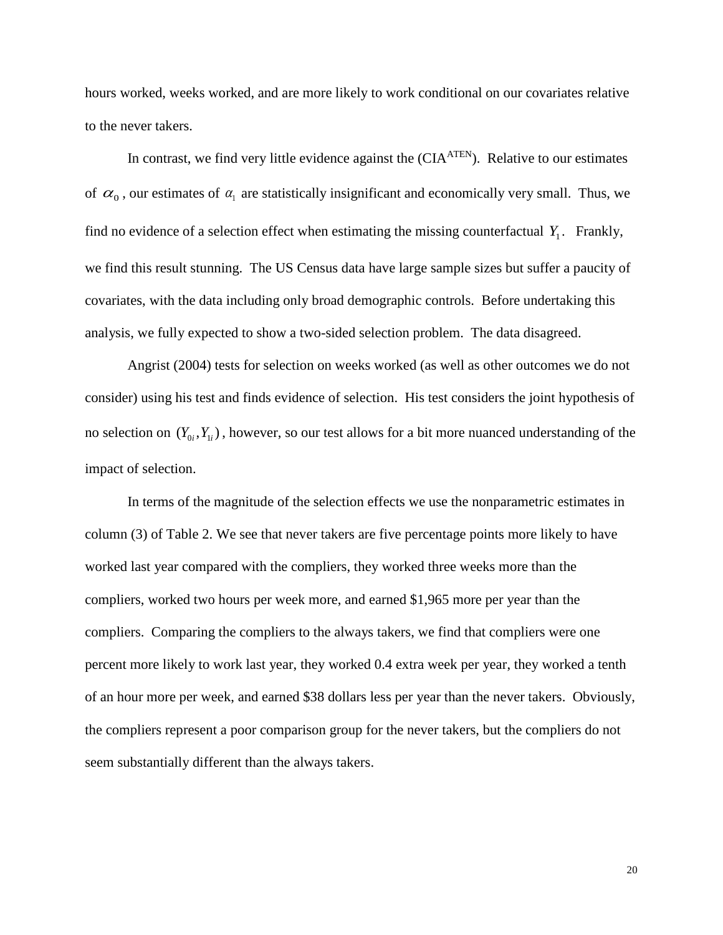hours worked, weeks worked, and are more likely to work conditional on our covariates relative to the never takers.

In contrast, we find very little evidence against the (CIA<sup>ATEN</sup>). Relative to our estimates of  $\alpha_0$ , our estimates of  $\alpha_1$  are statistically insignificant and economically very small. Thus, we find no evidence of a selection effect when estimating the missing counterfactual  $Y_1$ . Frankly, we find this result stunning. The US Census data have large sample sizes but suffer a paucity of covariates, with the data including only broad demographic controls. Before undertaking this analysis, we fully expected to show a two-sided selection problem. The data disagreed.

Angrist (2004) tests for selection on weeks worked (as well as other outcomes we do not consider) using his test and finds evidence of selection. His test considers the joint hypothesis of no selection on  $(Y_{0i}, Y_{1i})$ , however, so our test allows for a bit more nuanced understanding of the impact of selection.

In terms of the magnitude of the selection effects we use the nonparametric estimates in column (3) of Table 2. We see that never takers are five percentage points more likely to have worked last year compared with the compliers, they worked three weeks more than the compliers, worked two hours per week more, and earned \$1,965 more per year than the compliers. Comparing the compliers to the always takers, we find that compliers were one percent more likely to work last year, they worked 0.4 extra week per year, they worked a tenth of an hour more per week, and earned \$38 dollars less per year than the never takers. Obviously, the compliers represent a poor comparison group for the never takers, but the compliers do not seem substantially different than the always takers.

20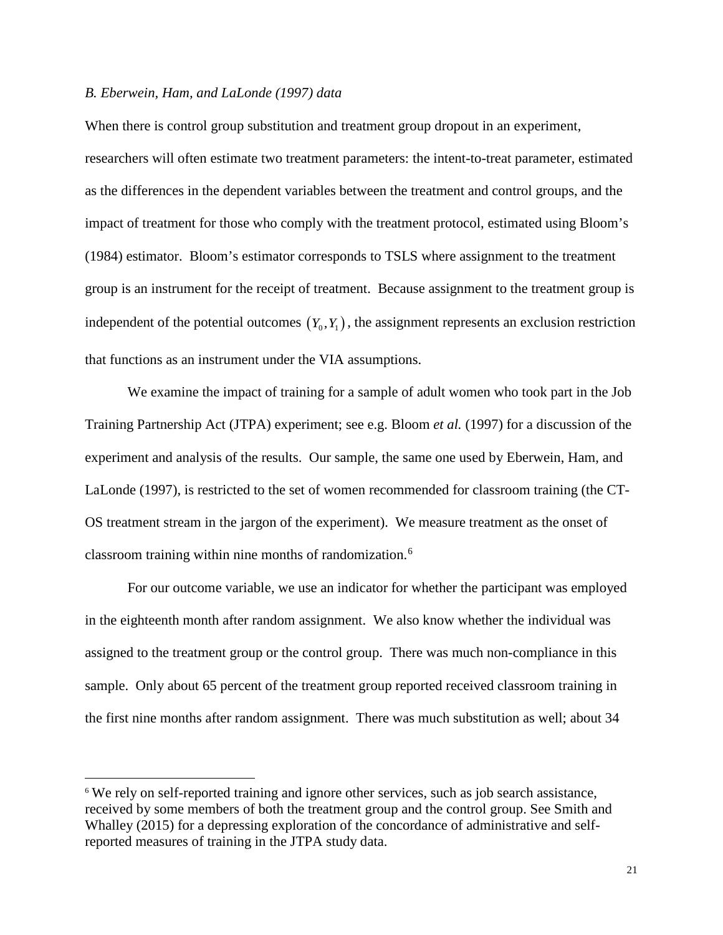#### *B. Eberwein, Ham, and LaLonde (1997) data*

When there is control group substitution and treatment group dropout in an experiment, researchers will often estimate two treatment parameters: the intent-to-treat parameter, estimated as the differences in the dependent variables between the treatment and control groups, and the impact of treatment for those who comply with the treatment protocol, estimated using Bloom's (1984) estimator. Bloom's estimator corresponds to TSLS where assignment to the treatment group is an instrument for the receipt of treatment. Because assignment to the treatment group is independent of the potential outcomes  $(Y_0, Y_1)$ , the assignment represents an exclusion restriction that functions as an instrument under the VIA assumptions.

We examine the impact of training for a sample of adult women who took part in the Job Training Partnership Act (JTPA) experiment; see e.g. Bloom *et al.* (1997) for a discussion of the experiment and analysis of the results. Our sample, the same one used by Eberwein, Ham, and LaLonde (1997), is restricted to the set of women recommended for classroom training (the CT-OS treatment stream in the jargon of the experiment). We measure treatment as the onset of classroom training within nine months of randomization.[6](#page-23-0)

For our outcome variable, we use an indicator for whether the participant was employed in the eighteenth month after random assignment. We also know whether the individual was assigned to the treatment group or the control group. There was much non-compliance in this sample. Only about 65 percent of the treatment group reported received classroom training in the first nine months after random assignment. There was much substitution as well; about 34

<span id="page-23-0"></span><sup>&</sup>lt;sup>6</sup> We rely on self-reported training and ignore other services, such as job search assistance, received by some members of both the treatment group and the control group. See Smith and Whalley (2015) for a depressing exploration of the concordance of administrative and selfreported measures of training in the JTPA study data.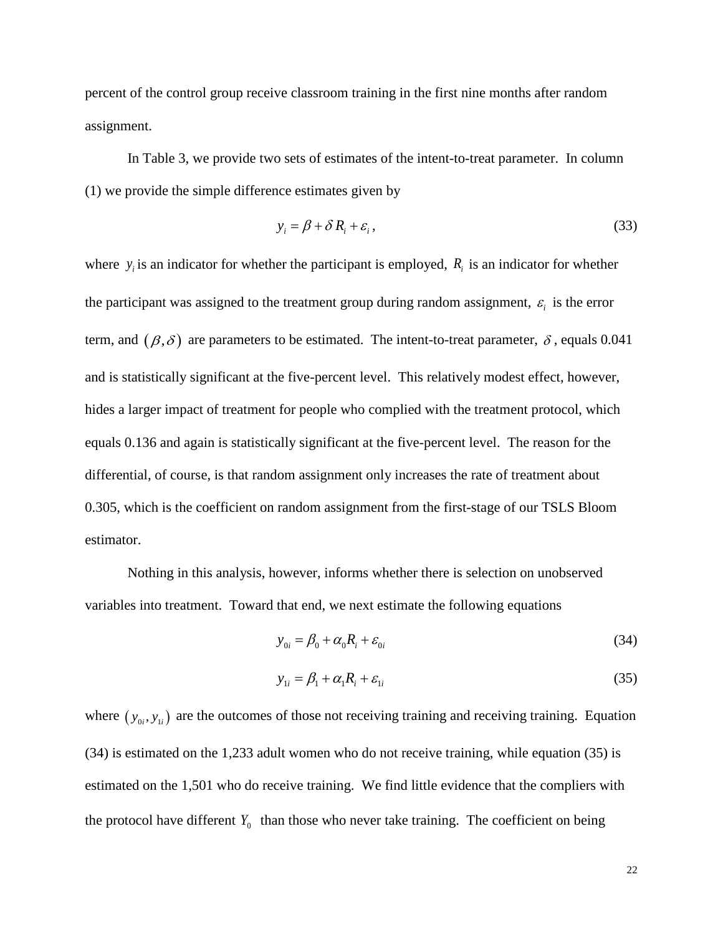percent of the control group receive classroom training in the first nine months after random assignment.

In Table 3, we provide two sets of estimates of the intent-to-treat parameter. In column (1) we provide the simple difference estimates given by

$$
y_i = \beta + \delta R_i + \varepsilon_i, \tag{33}
$$

where  $y_i$  is an indicator for whether the participant is employed,  $R_i$  is an indicator for whether the participant was assigned to the treatment group during random assignment,  $\varepsilon$ <sub>i</sub> is the error term, and  $(\beta, \delta)$  are parameters to be estimated. The intent-to-treat parameter,  $\delta$ , equals 0.041 and is statistically significant at the five-percent level. This relatively modest effect, however, hides a larger impact of treatment for people who complied with the treatment protocol, which equals 0.136 and again is statistically significant at the five-percent level. The reason for the differential, of course, is that random assignment only increases the rate of treatment about 0.305, which is the coefficient on random assignment from the first-stage of our TSLS Bloom estimator.

Nothing in this analysis, however, informs whether there is selection on unobserved variables into treatment. Toward that end, we next estimate the following equations

$$
y_{0i} = \beta_0 + \alpha_0 R_i + \varepsilon_{0i} \tag{34}
$$

$$
y_{1i} = \beta_1 + \alpha_1 R_i + \varepsilon_{1i} \tag{35}
$$

where  $(y_{0i}, y_{1i})$  are the outcomes of those not receiving training and receiving training. Equation (34) is estimated on the 1,233 adult women who do not receive training, while equation (35) is estimated on the 1,501 who do receive training. We find little evidence that the compliers with the protocol have different  $Y_0$  than those who never take training. The coefficient on being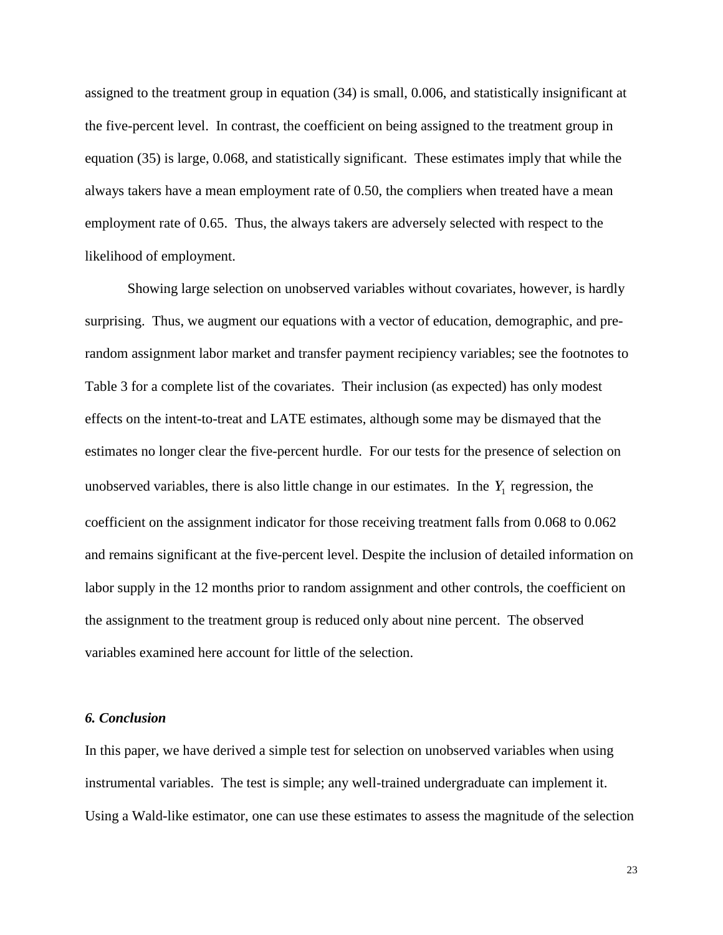assigned to the treatment group in equation (34) is small, 0.006, and statistically insignificant at the five-percent level. In contrast, the coefficient on being assigned to the treatment group in equation (35) is large, 0.068, and statistically significant. These estimates imply that while the always takers have a mean employment rate of 0.50, the compliers when treated have a mean employment rate of 0.65. Thus, the always takers are adversely selected with respect to the likelihood of employment.

Showing large selection on unobserved variables without covariates, however, is hardly surprising. Thus, we augment our equations with a vector of education, demographic, and prerandom assignment labor market and transfer payment recipiency variables; see the footnotes to Table 3 for a complete list of the covariates. Their inclusion (as expected) has only modest effects on the intent-to-treat and LATE estimates, although some may be dismayed that the estimates no longer clear the five-percent hurdle. For our tests for the presence of selection on unobserved variables, there is also little change in our estimates. In the  $Y_1$  regression, the coefficient on the assignment indicator for those receiving treatment falls from 0.068 to 0.062 and remains significant at the five-percent level. Despite the inclusion of detailed information on labor supply in the 12 months prior to random assignment and other controls, the coefficient on the assignment to the treatment group is reduced only about nine percent. The observed variables examined here account for little of the selection.

#### *6. Conclusion*

In this paper, we have derived a simple test for selection on unobserved variables when using instrumental variables. The test is simple; any well-trained undergraduate can implement it. Using a Wald-like estimator, one can use these estimates to assess the magnitude of the selection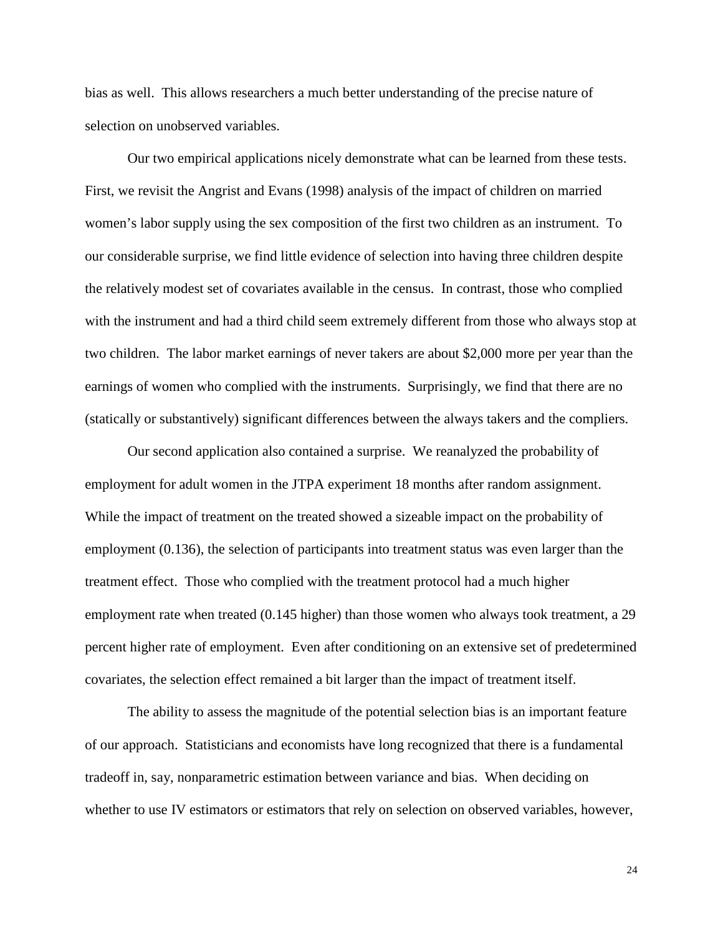bias as well. This allows researchers a much better understanding of the precise nature of selection on unobserved variables.

Our two empirical applications nicely demonstrate what can be learned from these tests. First, we revisit the Angrist and Evans (1998) analysis of the impact of children on married women's labor supply using the sex composition of the first two children as an instrument. To our considerable surprise, we find little evidence of selection into having three children despite the relatively modest set of covariates available in the census. In contrast, those who complied with the instrument and had a third child seem extremely different from those who always stop at two children. The labor market earnings of never takers are about \$2,000 more per year than the earnings of women who complied with the instruments. Surprisingly, we find that there are no (statically or substantively) significant differences between the always takers and the compliers.

Our second application also contained a surprise. We reanalyzed the probability of employment for adult women in the JTPA experiment 18 months after random assignment. While the impact of treatment on the treated showed a sizeable impact on the probability of employment (0.136), the selection of participants into treatment status was even larger than the treatment effect. Those who complied with the treatment protocol had a much higher employment rate when treated (0.145 higher) than those women who always took treatment, a 29 percent higher rate of employment. Even after conditioning on an extensive set of predetermined covariates, the selection effect remained a bit larger than the impact of treatment itself.

The ability to assess the magnitude of the potential selection bias is an important feature of our approach. Statisticians and economists have long recognized that there is a fundamental tradeoff in, say, nonparametric estimation between variance and bias. When deciding on whether to use IV estimators or estimators that rely on selection on observed variables, however,

24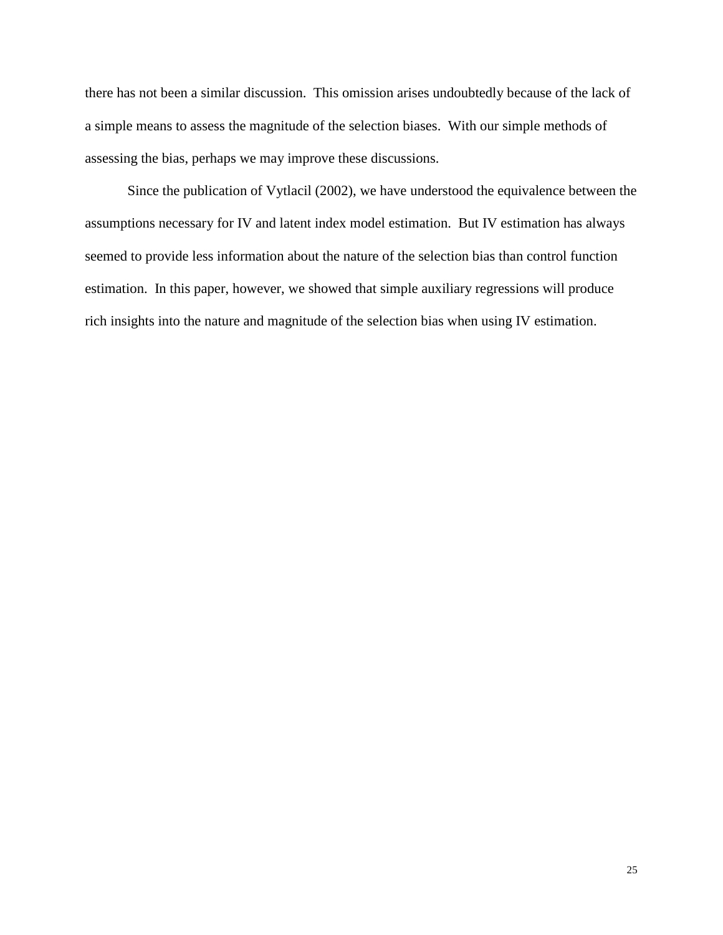there has not been a similar discussion. This omission arises undoubtedly because of the lack of a simple means to assess the magnitude of the selection biases. With our simple methods of assessing the bias, perhaps we may improve these discussions.

Since the publication of Vytlacil (2002), we have understood the equivalence between the assumptions necessary for IV and latent index model estimation. But IV estimation has always seemed to provide less information about the nature of the selection bias than control function estimation. In this paper, however, we showed that simple auxiliary regressions will produce rich insights into the nature and magnitude of the selection bias when using IV estimation.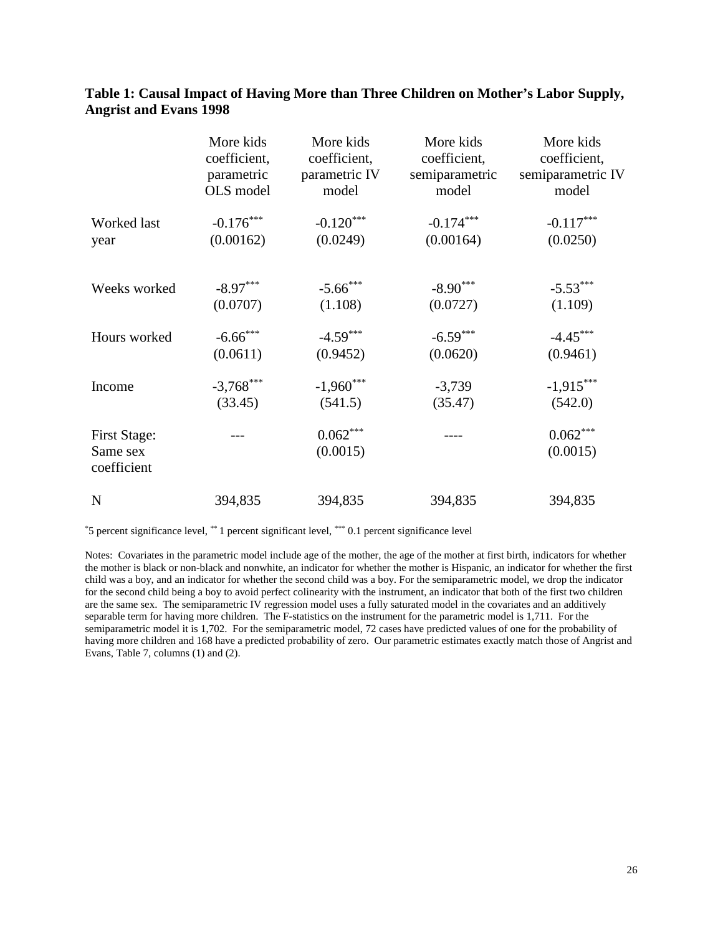#### **Table 1: Causal Impact of Having More than Three Children on Mother's Labor Supply, Angrist and Evans 1998**

|                                                | More kids    | More kids              | More kids      | More kids              |
|------------------------------------------------|--------------|------------------------|----------------|------------------------|
|                                                | coefficient, | coefficient,           | coefficient,   | coefficient,           |
|                                                | parametric   | parametric IV          | semiparametric | semiparametric IV      |
|                                                | OLS model    | model                  | model          | model                  |
| Worked last                                    | $-0.176***$  | $-0.120***$            | $-0.174***$    | $-0.117***$            |
| year                                           | (0.00162)    | (0.0249)               | (0.00164)      | (0.0250)               |
| Weeks worked                                   | $-8.97***$   | $-5.66$ ***            | $-8.90***$     | $-5.53***$             |
|                                                | (0.0707)     | (1.108)                | (0.0727)       | (1.109)                |
| Hours worked                                   | $-6.66$ ***  | $-4.59***$             | $-6.59***$     | $-4.45***$             |
|                                                | (0.0611)     | (0.9452)               | (0.0620)       | (0.9461)               |
| Income                                         | $-3,768$ *** | $-1,960***$            | $-3,739$       | $-1,915***$            |
|                                                | (33.45)      | (541.5)                | (35.47)        | (542.0)                |
| <b>First Stage:</b><br>Same sex<br>coefficient |              | $0.062***$<br>(0.0015) |                | $0.062***$<br>(0.0015) |
| $\mathbf N$                                    | 394,835      | 394,835                | 394,835        | 394,835                |

\*5 percent significance level, \*\* 1 percent significant level, \*\*\* 0.1 percent significance level

Notes: Covariates in the parametric model include age of the mother, the age of the mother at first birth, indicators for whether the mother is black or non-black and nonwhite, an indicator for whether the mother is Hispanic, an indicator for whether the first child was a boy, and an indicator for whether the second child was a boy. For the semiparametric model, we drop the indicator for the second child being a boy to avoid perfect colinearity with the instrument, an indicator that both of the first two children are the same sex. The semiparametric IV regression model uses a fully saturated model in the covariates and an additively separable term for having more children. The F-statistics on the instrument for the parametric model is 1,711. For the semiparametric model it is 1,702. For the semiparametric model, 72 cases have predicted values of one for the probability of having more children and 168 have a predicted probability of zero. Our parametric estimates exactly match those of Angrist and Evans, Table 7, columns (1) and (2).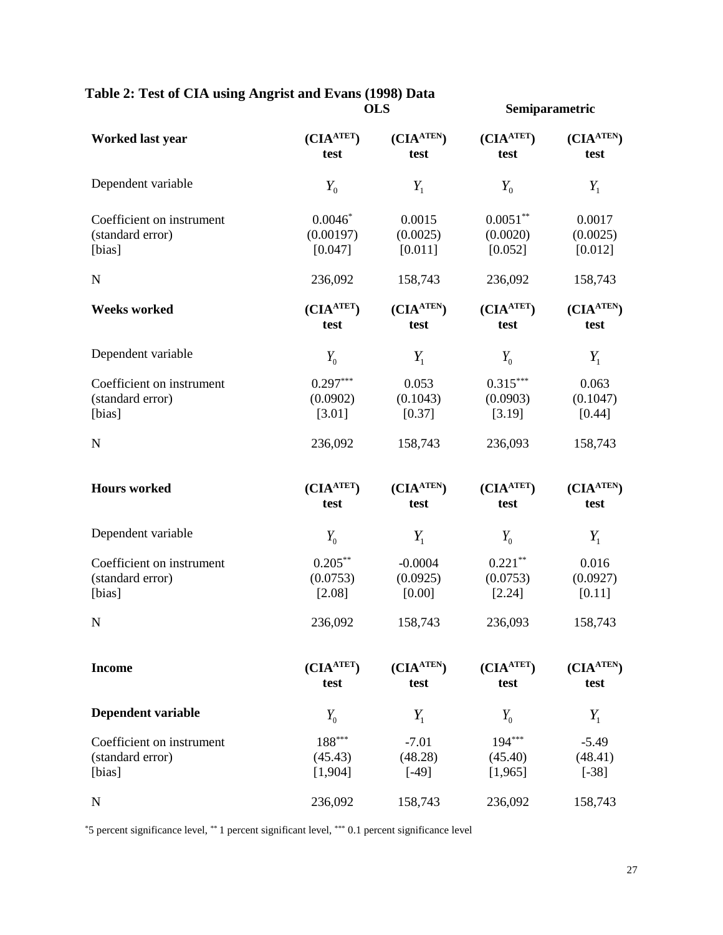## **Table 2: Test of CIA using Angrist and Evans (1998) Data**

|                                                         | <b>OLS</b>                                 |                                 | Semiparametric                     |                               |
|---------------------------------------------------------|--------------------------------------------|---------------------------------|------------------------------------|-------------------------------|
| <b>Worked last year</b>                                 | (CIA <sup>ATET</sup> )<br>test             | $(CIA^{ATEN})$<br>test          | (CIA <sub>ATET</sub> )<br>test     | $(CIA^{ATEN})$<br>test        |
| Dependent variable                                      | $Y_{0}$                                    | $Y_1$                           | $Y_0$                              | $Y_1$                         |
| Coefficient on instrument<br>(standard error)<br>[bias] | $0.0046*$<br>(0.00197)<br>[0.047]          | 0.0015<br>(0.0025)<br>[0.011]   | $0.0051***$<br>(0.0020)<br>[0.052] | 0.0017<br>(0.0025)<br>[0.012] |
| ${\bf N}$                                               | 236,092                                    | 158,743                         | 236,092                            | 158,743                       |
| <b>Weeks worked</b>                                     | (CIA <sup>ATET</sup> )<br>test             | $(CIA^{ATEN})$<br>test          | (CIA <sup>ATET</sup> )<br>test     | $(CIA^{ATEN})$<br>test        |
| Dependent variable                                      | $Y_0$                                      | $Y_1$                           | $Y_0$                              | $Y_1$                         |
| Coefficient on instrument<br>(standard error)<br>[bias] | $0.297***$<br>(0.0902)<br>[3.01]           | 0.053<br>(0.1043)<br>[0.37]     | $0.315***$<br>(0.0903)<br>[3.19]   | 0.063<br>(0.1047)<br>[0.44]   |
| ${\bf N}$                                               | 236,092                                    | 158,743                         | 236,093                            | 158,743                       |
| <b>Hours</b> worked                                     | (CIA <sup>ATET</sup> )<br>test             | $(CIA^{ATEN})$<br>test          | (CIA <sup>ATET</sup> )<br>test     | $(CIA^{ATEN})$<br>test        |
| Dependent variable                                      | $Y_0$                                      | $Y_1$                           | $Y_{0}$                            | $Y_1$                         |
| Coefficient on instrument<br>(standard error)<br>[bias] | $0.205***$<br>(0.0753)<br>[2.08]           | $-0.0004$<br>(0.0925)<br>[0.00] | $0.221***$<br>(0.0753)<br>[2.24]   | 0.016<br>(0.0927)<br>[0.11]   |
| ${\bf N}$                                               | 236,092                                    | 158,743                         | 236,093                            | 158,743                       |
| <b>Income</b>                                           | (CIA <sup>ATET</sup> )<br>test             | $(CIA^{ATEN})$<br>test          | (CIA <sup>ATET</sup> )<br>test     | $(CIA^{ATEN})$<br>test        |
| <b>Dependent variable</b>                               | $Y_{0}$                                    | $Y_1$                           | $Y_0$                              | $Y_1$                         |
| Coefficient on instrument<br>(standard error)<br>[bias] | $188^{\ast\ast\ast}$<br>(45.43)<br>[1,904] | $-7.01$<br>(48.28)<br>$[ -49 ]$ | $194***$<br>(45.40)<br>[1,965]     | $-5.49$<br>(48.41)<br>$[-38]$ |
| $\mathbf N$                                             | 236,092                                    | 158,743                         | 236,092                            | 158,743                       |

\*5 percent significance level, \*\* 1 percent significant level, \*\*\* 0.1 percent significance level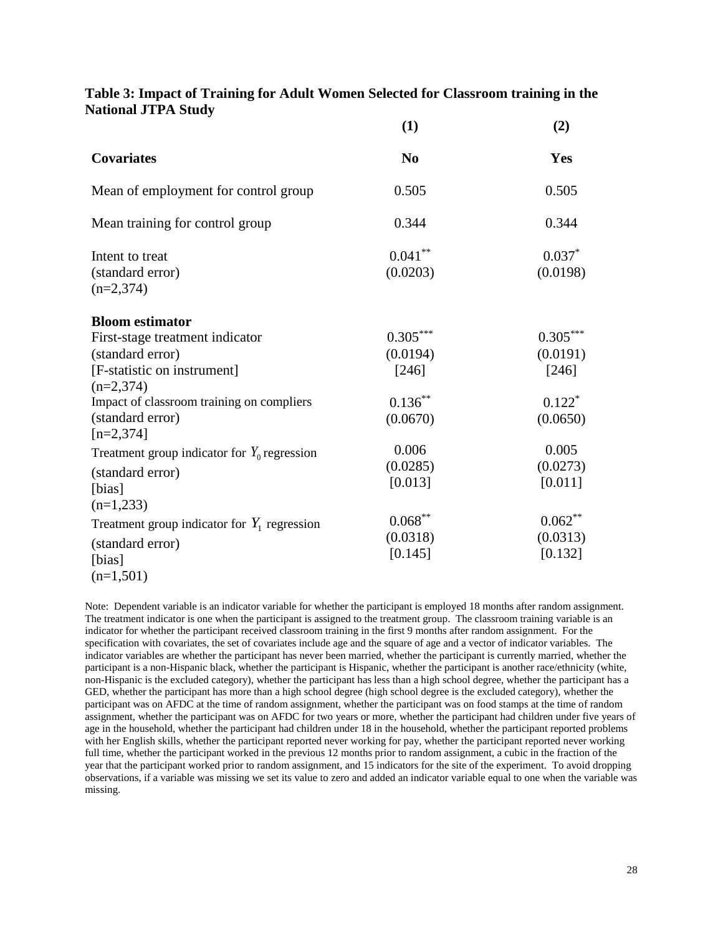|                                                                                                                                                                                                             | (1)                                                               | (2)                                                              |
|-------------------------------------------------------------------------------------------------------------------------------------------------------------------------------------------------------------|-------------------------------------------------------------------|------------------------------------------------------------------|
| <b>Covariates</b>                                                                                                                                                                                           | N <sub>0</sub>                                                    | Yes                                                              |
| Mean of employment for control group                                                                                                                                                                        | 0.505                                                             | 0.505                                                            |
| Mean training for control group                                                                                                                                                                             | 0.344                                                             | 0.344                                                            |
| Intent to treat<br>(standard error)<br>$(n=2,374)$                                                                                                                                                          | $0.041***$<br>(0.0203)                                            | $0.037*$<br>(0.0198)                                             |
| <b>Bloom estimator</b><br>First-stage treatment indicator<br>(standard error)<br>[F-statistic on instrument]<br>$(n=2,374)$<br>Impact of classroom training on compliers<br>(standard error)<br>$[n=2,374]$ | $0.305***$<br>(0.0194)<br>[246]<br>$0.136***$<br>(0.0670)         | $0.305***$<br>(0.0191)<br>[246]<br>$0.122*$<br>(0.0650)          |
| Treatment group indicator for $Y_0$ regression<br>(standard error)<br>[bias]<br>$(n=1,233)$<br>Treatment group indicator for $Y_1$ regression<br>(standard error)<br>[bias]<br>$(n=1,501)$                  | 0.006<br>(0.0285)<br>[0.013]<br>$0.068***$<br>(0.0318)<br>[0.145] | 0.005<br>(0.0273)<br>[0.011]<br>$0.062**$<br>(0.0313)<br>[0.132] |

#### **Table 3: Impact of Training for Adult Women Selected for Classroom training in the National JTPA Study**

Note: Dependent variable is an indicator variable for whether the participant is employed 18 months after random assignment. The treatment indicator is one when the participant is assigned to the treatment group. The classroom training variable is an indicator for whether the participant received classroom training in the first 9 months after random assignment. For the specification with covariates, the set of covariates include age and the square of age and a vector of indicator variables. The indicator variables are whether the participant has never been married, whether the participant is currently married, whether the participant is a non-Hispanic black, whether the participant is Hispanic, whether the participant is another race/ethnicity (white, non-Hispanic is the excluded category), whether the participant has less than a high school degree, whether the participant has a GED, whether the participant has more than a high school degree (high school degree is the excluded category), whether the participant was on AFDC at the time of random assignment, whether the participant was on food stamps at the time of random assignment, whether the participant was on AFDC for two years or more, whether the participant had children under five years of age in the household, whether the participant had children under 18 in the household, whether the participant reported problems with her English skills, whether the participant reported never working for pay, whether the participant reported never working full time, whether the participant worked in the previous 12 months prior to random assignment, a cubic in the fraction of the year that the participant worked prior to random assignment, and 15 indicators for the site of the experiment. To avoid dropping observations, if a variable was missing we set its value to zero and added an indicator variable equal to one when the variable was missing.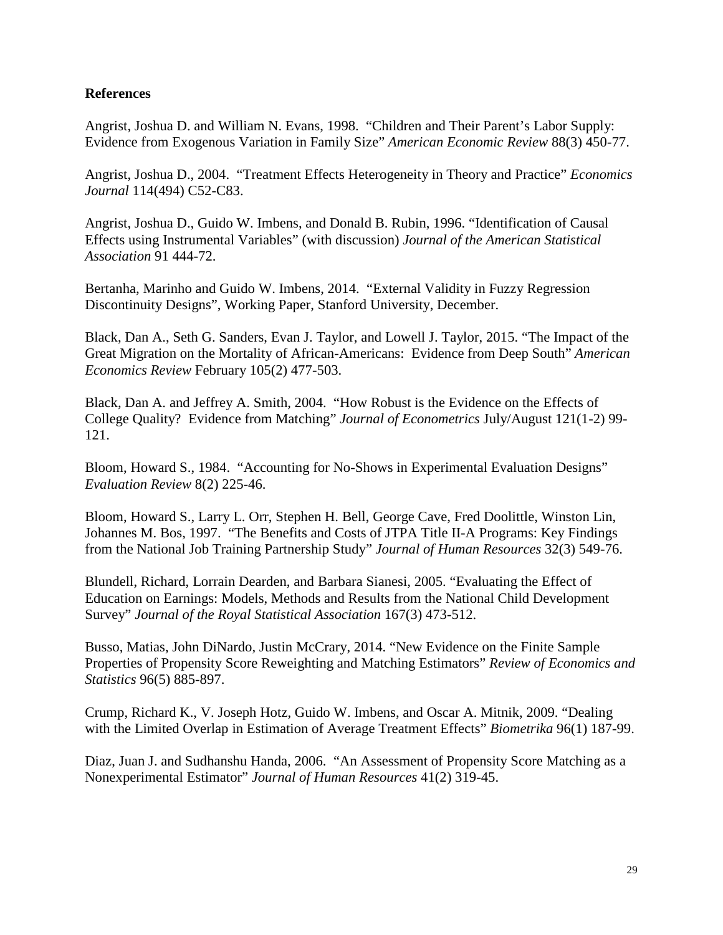#### **References**

Angrist, Joshua D. and William N. Evans, 1998. "Children and Their Parent's Labor Supply: Evidence from Exogenous Variation in Family Size" *American Economic Review* 88(3) 450-77.

Angrist, Joshua D., 2004. "Treatment Effects Heterogeneity in Theory and Practice" *Economics Journal* 114(494) C52-C83.

Angrist, Joshua D., Guido W. Imbens, and Donald B. Rubin, 1996. "Identification of Causal Effects using Instrumental Variables" (with discussion) *Journal of the American Statistical Association* 91 444-72.

Bertanha, Marinho and Guido W. Imbens, 2014. "External Validity in Fuzzy Regression Discontinuity Designs", Working Paper, Stanford University, December.

Black, Dan A., Seth G. Sanders, Evan J. Taylor, and Lowell J. Taylor, 2015. "The Impact of the Great Migration on the Mortality of African-Americans: Evidence from Deep South" *American Economics Review* February 105(2) 477-503.

Black, Dan A. and Jeffrey A. Smith, 2004. "How Robust is the Evidence on the Effects of College Quality? Evidence from Matching" *Journal of Econometrics* July/August 121(1-2) 99- 121.

Bloom, Howard S., 1984. "Accounting for No-Shows in Experimental Evaluation Designs" *Evaluation Review* 8(2) 225-46.

Bloom, Howard S., Larry L. Orr, Stephen H. Bell, George Cave, Fred Doolittle, Winston Lin, Johannes M. Bos, 1997. "The Benefits and Costs of JTPA Title II-A Programs: Key Findings from the National Job Training Partnership Study" *Journal of Human Resources* 32(3) 549-76.

Blundell, Richard, Lorrain Dearden, and Barbara Sianesi, 2005. "Evaluating the Effect of Education on Earnings: Models, Methods and Results from the National Child Development Survey" *Journal of the Royal Statistical Association* 167(3) 473-512.

Busso, Matias, John DiNardo, Justin McCrary, 2014. "New Evidence on the Finite Sample Properties of Propensity Score Reweighting and Matching Estimators" *Review of Economics and Statistics* 96(5) 885-897.

Crump, Richard K., V. Joseph Hotz, Guido W. Imbens, and Oscar A. Mitnik, 2009. "Dealing with the Limited Overlap in Estimation of Average Treatment Effects" *Biometrika* 96(1) 187-99.

Diaz, Juan J. and Sudhanshu Handa, 2006. "An Assessment of Propensity Score Matching as a Nonexperimental Estimator" *Journal of Human Resources* 41(2) 319-45.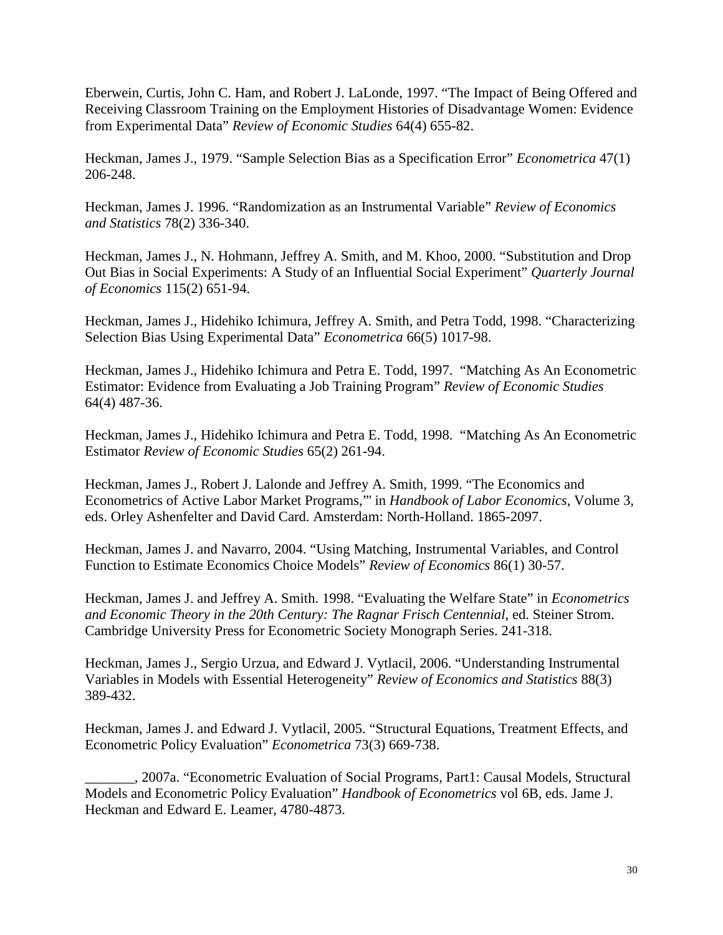Eberwein, Curtis, John C. Ham, and Robert J. LaLonde, 1997. "The Impact of Being Offered and Receiving Classroom Training on the Employment Histories of Disadvantage Women: Evidence from Experimental Data" *Review of Economic Studies* 64(4) 655-82.

Heckman, James J., 1979. "Sample Selection Bias as a Specification Error" *Econometrica* 47(1) 206-248.

Heckman, James J. 1996. "Randomization as an Instrumental Variable" *Review of Economics and Statistics* 78(2) 336-340.

Heckman, James J., N. Hohmann, Jeffrey A. Smith, and M. Khoo, 2000. "Substitution and Drop Out Bias in Social Experiments: A Study of an Influential Social Experiment" *Quarterly Journal of Economics* 115(2) 651-94.

Heckman, James J., Hidehiko Ichimura, Jeffrey A. Smith, and Petra Todd, 1998. "Characterizing Selection Bias Using Experimental Data" *Econometrica* 66(5) 1017-98.

Heckman, James J., Hidehiko Ichimura and Petra E. Todd, 1997. "Matching As An Econometric Estimator: Evidence from Evaluating a Job Training Program" *Review of Economic Studies* 64(4) 487-36.

Heckman, James J., Hidehiko Ichimura and Petra E. Todd, 1998. "Matching As An Econometric Estimator *Review of Economic Studies* 65(2) 261-94.

Heckman, James J., Robert J. Lalonde and Jeffrey A. Smith, 1999. "The Economics and Econometrics of Active Labor Market Programs,"' in *Handbook of Labor Economics*, Volume 3, eds. Orley Ashenfelter and David Card. Amsterdam: North-Holland. 1865-2097.

Heckman, James J. and Navarro, 2004. "Using Matching, Instrumental Variables, and Control Function to Estimate Economics Choice Models" *Review of Economics* 86(1) 30-57.

Heckman, James J. and Jeffrey A. Smith. 1998. "Evaluating the Welfare State" in *Econometrics and Economic Theory in the 20th Century: The Ragnar Frisch Centennial*, ed. Steiner Strom. Cambridge University Press for Econometric Society Monograph Series. 241-318.

Heckman, James J., Sergio Urzua, and Edward J. Vytlacil, 2006. "Understanding Instrumental Variables in Models with Essential Heterogeneity" *Review of Economics and Statistics* 88(3) 389-432.

Heckman, James J. and Edward J. Vytlacil, 2005. "Structural Equations, Treatment Effects, and Econometric Policy Evaluation" *Econometrica* 73(3) 669-738.

\_\_\_\_\_\_\_, 2007a. "Econometric Evaluation of Social Programs, Part1: Causal Models, Structural Models and Econometric Policy Evaluation" *Handbook of Econometrics* vol 6B, eds. Jame J. Heckman and Edward E. Leamer, 4780-4873.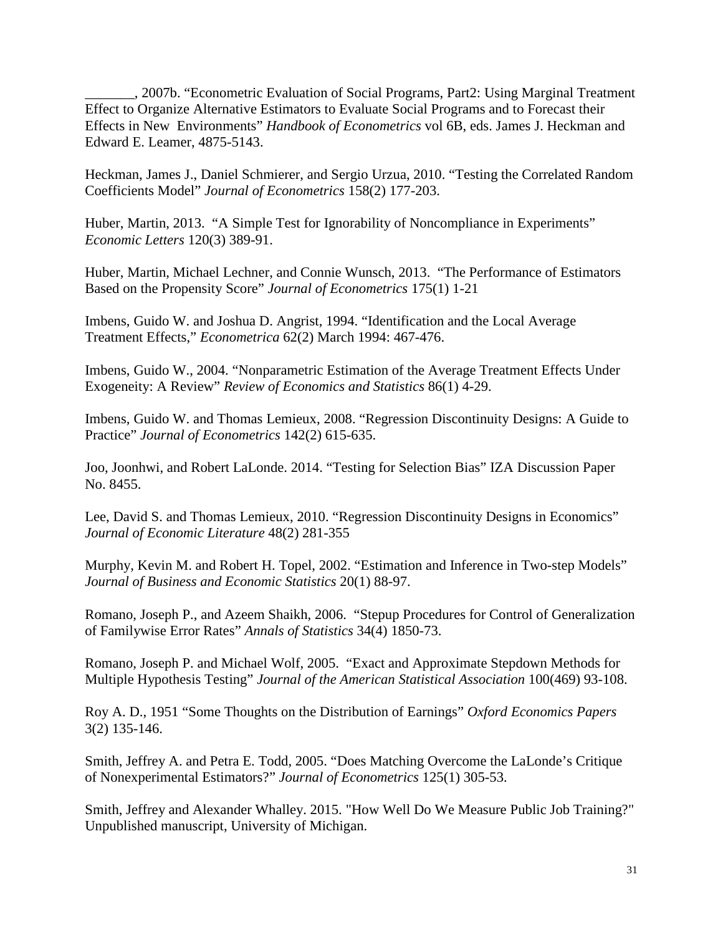\_\_\_\_\_\_\_, 2007b. "Econometric Evaluation of Social Programs, Part2: Using Marginal Treatment Effect to Organize Alternative Estimators to Evaluate Social Programs and to Forecast their Effects in New Environments" *Handbook of Econometrics* vol 6B, eds. James J. Heckman and Edward E. Leamer, 4875-5143.

Heckman, James J., Daniel Schmierer, and Sergio Urzua, 2010. "Testing the Correlated Random Coefficients Model" *Journal of Econometrics* 158(2) 177-203.

Huber, Martin, 2013. "A Simple Test for Ignorability of Noncompliance in Experiments" *Economic Letters* 120(3) 389-91.

Huber, Martin, Michael Lechner, and Connie Wunsch, 2013. "The Performance of Estimators Based on the Propensity Score" *Journal of Econometrics* 175(1) 1-21

Imbens, Guido W. and Joshua D. Angrist, 1994. "Identification and the Local Average Treatment Effects," *Econometrica* 62(2) March 1994: 467-476.

Imbens, Guido W., 2004. "Nonparametric Estimation of the Average Treatment Effects Under Exogeneity: A Review" *Review of Economics and Statistics* 86(1) 4-29.

Imbens, Guido W. and Thomas Lemieux, 2008. "Regression Discontinuity Designs: A Guide to Practice" *Journal of Econometrics* 142(2) 615-635.

Joo, Joonhwi, and Robert LaLonde. 2014. "Testing for Selection Bias" IZA Discussion Paper No. 8455.

Lee, David S. and Thomas Lemieux, 2010. "Regression Discontinuity Designs in Economics" *Journal of Economic Literature* 48(2) 281-355

Murphy, Kevin M. and Robert H. Topel, 2002. "Estimation and Inference in Two-step Models" *Journal of Business and Economic Statistics* 20(1) 88-97.

Romano, Joseph P., and Azeem Shaikh, 2006. "Stepup Procedures for Control of Generalization of Familywise Error Rates" *Annals of Statistics* 34(4) 1850-73.

Romano, Joseph P. and Michael Wolf, 2005. "Exact and Approximate Stepdown Methods for Multiple Hypothesis Testing" *Journal of the American Statistical Association* 100(469) 93-108.

Roy A. D., 1951 "Some Thoughts on the Distribution of Earnings" *Oxford Economics Papers*  3(2) 135-146.

Smith, Jeffrey A. and Petra E. Todd, 2005. "Does Matching Overcome the LaLonde's Critique of Nonexperimental Estimators?" *Journal of Econometrics* 125(1) 305-53.

Smith, Jeffrey and Alexander Whalley. 2015. "How Well Do We Measure Public Job Training?" Unpublished manuscript, University of Michigan.